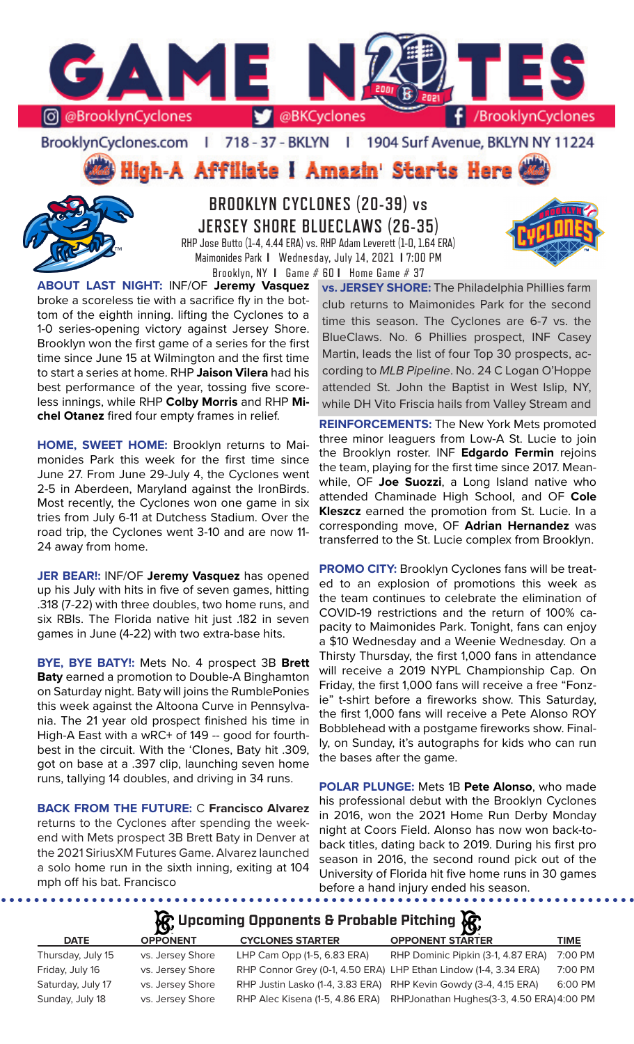

BrooklynCyclones.com | 718 - 37 - BKLYN  $\mathbf{r}$ 1904 Surf Avenue, BKLYN NY 11224

High-A Affiliate I Amazin' Starts Here



**BROOKLYN CYCLONES (20-39) vs JERSEY SHORE BLUECLAWS (26-35)** RHP Jose Butto (1-4, 4.44 ERA) vs. RHP Adam Leverett (1-0, 1.64 ERA) Maimonides Park **I** Wednesday, July 14, 2021 **I** 7:00 PM



tom of the eighth inning. lifting the Cyclones to a 1-0 series-opening victory against Jersey Shore. Brooklyn won the first game of a series for the first time since June 15 at Wilmington and the first time to start a series at home. RHP **Jaison Vilera** had his best performance of the year, tossing five scoreless innings, while RHP **Colby Morris** and RHP **Michel Otanez** fired four empty frames in relief.

**HOME, SWEET HOME:** Brooklyn returns to Maimonides Park this week for the first time since June 27. From June 29-July 4, the Cyclones went 2-5 in Aberdeen, Maryland against the IronBirds. Most recently, the Cyclones won one game in six tries from July 6-11 at Dutchess Stadium. Over the road trip, the Cyclones went 3-10 and are now 11- 24 away from home.

**JER BEAR!:** INF/OF **Jeremy Vasquez** has opened up his July with hits in five of seven games, hitting .318 (7-22) with three doubles, two home runs, and six RBIs. The Florida native hit just .182 in seven games in June (4-22) with two extra-base hits.

**BYE, BYE BATY!:** Mets No. 4 prospect 3B **Brett Baty** earned a promotion to Double-A Binghamton on Saturday night. Baty will joins the RumblePonies this week against the Altoona Curve in Pennsylvania. The 21 year old prospect finished his time in High-A East with a wRC+ of 149 -- good for fourthbest in the circuit. With the 'Clones, Baty hit .309, got on base at a .397 clip, launching seven home runs, tallying 14 doubles, and driving in 34 runs.

**BACK FROM THE FUTURE:** C **Francisco Alvarez**  returns to the Cyclones after spending the weekend with Mets prospect 3B Brett Baty in Denver at the 2021 SiriusXM Futures Game. Alvarez launched a solo home run in the sixth inning, exiting at 104 mph off his bat. Francisco

. . . . . . . . . . . . .

**vs. JERSEY SHORE:** The Philadelphia Phillies farm club returns to Maimonides Park for the second time this season. The Cyclones are 6-7 vs. the BlueClaws. No. 6 Phillies prospect, INF Casey Martin, leads the list of four Top 30 prospects, according to *MLB Pipeline*. No. 24 C Logan O'Hoppe attended St. John the Baptist in West Islip, NY, while DH Vito Friscia hails from Valley Stream and

**REINFORCEMENTS:** The New York Mets promoted three minor leaguers from Low-A St. Lucie to join the Brooklyn roster. INF **Edgardo Fermin** rejoins the team, playing for the first time since 2017. Meanwhile, OF **Joe Suozzi**, a Long Island native who attended Chaminade High School, and OF **Cole Kleszcz** earned the promotion from St. Lucie. In a corresponding move, OF **Adrian Hernandez** was transferred to the St. Lucie complex from Brooklyn.

**PROMO CITY:** Brooklyn Cyclones fans will be treated to an explosion of promotions this week as the team continues to celebrate the elimination of COVID-19 restrictions and the return of 100% capacity to Maimonides Park. Tonight, fans can enjoy a \$10 Wednesday and a Weenie Wednesday. On a Thirsty Thursday, the first 1,000 fans in attendance will receive a 2019 NYPL Championship Cap. On Friday, the first 1,000 fans will receive a free "Fonzie" t-shirt before a fireworks show. This Saturday, the first 1,000 fans will receive a Pete Alonso ROY Bobblehead with a postgame fireworks show. Finally, on Sunday, it's autographs for kids who can run the bases after the game.

**POLAR PLUNGE:** Mets 1B **Pete Alonso**, who made his professional debut with the Brooklyn Cyclones in 2016, won the 2021 Home Run Derby Monday night at Coors Field. Alonso has now won back-toback titles, dating back to 2019. During his first pro season in 2016, the second round pick out of the University of Florida hit five home runs in 30 games before a hand injury ended his season.

# **Upcoming Opponents & Probable Pitching**

| <b>DATE</b>       | <b>OPPONENT</b>  | <b>CYCLONES STARTER</b>         | <b>OPPONENT STARTER</b>                                          | <b>TIME</b> |
|-------------------|------------------|---------------------------------|------------------------------------------------------------------|-------------|
| Thursday, July 15 | vs. Jersey Shore | LHP Cam Opp (1-5, 6.83 ERA)     | RHP Dominic Pipkin (3-1, 4.87 ERA)                               | 7:00 PM     |
| Friday, July 16   | vs. Jersey Shore |                                 | RHP Connor Grey (0-1, 4.50 ERA) LHP Ethan Lindow (1-4, 3.34 ERA) | 7:00 PM     |
| Saturday, July 17 | vs. Jersey Shore |                                 | RHP Justin Lasko (1-4, 3.83 ERA) RHP Kevin Gowdy (3-4, 4.15 ERA) | 6:00 PM     |
| Sunday, July 18   | vs. Jersey Shore | RHP Alec Kisena (1-5, 4.86 ERA) | RHPJonathan Hughes(3-3, 4.50 ERA) 4:00 PM                        |             |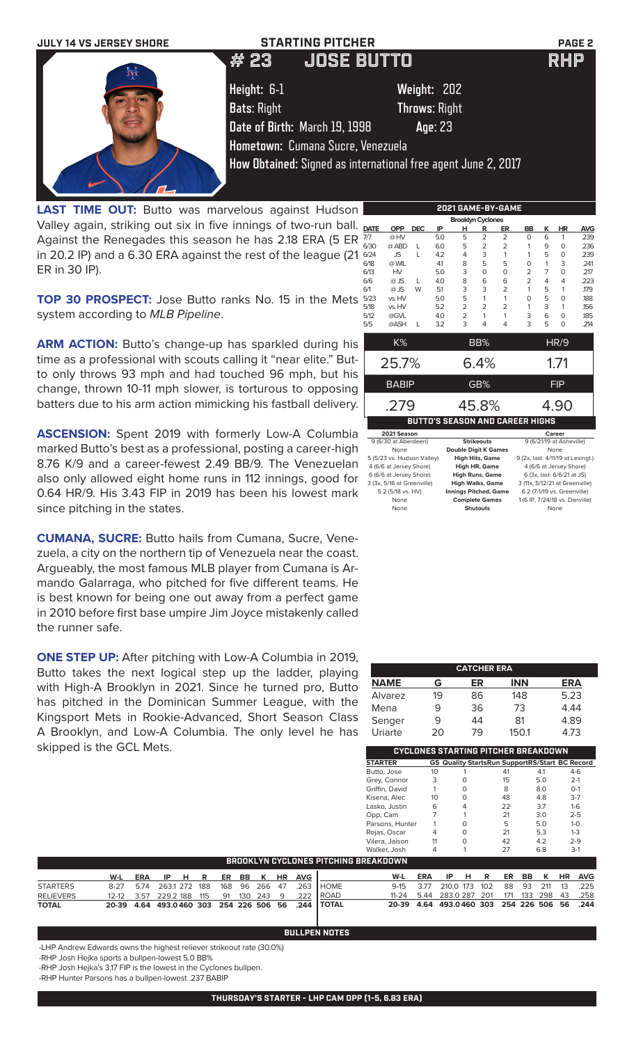

LAST TIME OUT: Butto was marvelous against Hudson Valley again, striking out six in five innings of two-run ball. Against the Renegades this season he has 2.18 ERA (5 ER in 20.2 IP) and a 6.30 ERA against the rest of the league (21 ER in 30 IP).

**TOP 30 PROSPECT:** Jose Butto ranks No. 15 in the Mets system according to *MLB Pipeline*.

ARM ACTION: Butto's change-up has sparkled during his time as a professional with scouts calling it "near elite." Butto only throws 93 mph and had touched 96 mph, but his change, thrown 10-11 mph slower, is torturous to opposing batters due to his arm action mimicking his fastball delivery.

**ASCENSION:** Spent 2019 with formerly Low-A Columbia marked Butto's best as a professional, posting a career-high 8.76 K/9 and a career-fewest 2.49 BB/9. The Venezuelan also only allowed eight home runs in 112 innings, good for 0.64 HR/9. His 3.43 FIP in 2019 has been his lowest mark since pitching in the states.

**CUMANA, SUCRE:** Butto hails from Cumana, Sucre, Venezuela, a city on the northern tip of Venezuela near the coast. Argueably, the most famous MLB player from Cumana is Armando Galarraga, who pitched for five different teams. He is best known for being one out away from a perfect game in 2010 before first base umpire Jim Joyce mistakenly called the runner safe.

**ONE STEP UP:** After pitching with Low-A Columbia in 2019, Butto takes the next logical step up the ladder, playing with High-A Brooklyn in 2021. Since he turned pro, Butto has pitched in the Dominican Summer League, with the Kingsport Mets in Rookie-Advanced, Short Season Class A Brooklyn, and Low-A Columbia. The only level he has skipped is the GCL Mets.

| <b>Brooklyn Cyclones</b>                           |                            |                                        |     |                                                   |                   |                |                                                             |                |                            |            |
|----------------------------------------------------|----------------------------|----------------------------------------|-----|---------------------------------------------------|-------------------|----------------|-------------------------------------------------------------|----------------|----------------------------|------------|
| <b>DATE</b>                                        | <b>OPP</b>                 | <b>DEC</b>                             | IP  | н                                                 | R                 | ER             | BB                                                          | ĸ              | <b>HR</b>                  | <b>AVG</b> |
| 7/7                                                | @HV                        |                                        | 5.0 | 5                                                 | $\overline{2}$    | $\overline{2}$ | O                                                           | 6              | 1                          | .239       |
| 6/30                                               | @ ABD                      | L                                      | 6.0 | 5                                                 | $\overline{2}$    | 2              | 1                                                           | 9              | O                          | .236       |
| 6/24                                               | JS.                        | L                                      | 4.2 | 4                                                 | 3                 | 1              | 1                                                           | 5              | 0                          | .239       |
| 6/18                                               | @ WIL                      |                                        | 41  | 8                                                 | 5                 | 5              | O                                                           | 1              | 3                          | .241       |
| 6/13                                               | <b>HV</b>                  |                                        | 5.0 | 3                                                 | $\Omega$          | O              | $\overline{2}$                                              | $\overline{7}$ | 0                          | .217       |
| 6/6                                                | @JS                        | L                                      | 4.0 | 8                                                 | 6                 | 6              | $\overline{2}$                                              | 4              | 4                          | .223       |
| 6/1                                                | $@$ JS                     | W                                      | 5.1 | 3                                                 | 3                 | $\overline{2}$ | 1                                                           | 5              | 1                          | .179       |
| 5/23                                               | vs. HV                     |                                        | 5.0 | 5                                                 | 1                 | 1              | 0                                                           | 5              | O                          | .188       |
| 5/18                                               | vs. HV                     |                                        | 5.2 | $\overline{2}$                                    | $\overline{2}$    | $\overline{2}$ | 1                                                           | 3              | 1                          | .156       |
| 5/12                                               | @GVL                       |                                        | 4.0 | $\overline{2}$                                    | 1                 | 1              | 3                                                           | 6              | $\Omega$                   | .185       |
| 5/5                                                | @ASH                       | L                                      | 3.2 | 3                                                 | 4                 | 4              | 3                                                           | 5              | $\Omega$                   | .214       |
|                                                    | K%                         |                                        |     |                                                   | BB%               |                |                                                             |                | <b>HR/9</b>                |            |
|                                                    |                            |                                        |     |                                                   |                   |                |                                                             |                |                            |            |
|                                                    | 25.7%                      |                                        |     |                                                   | 6.4%              |                |                                                             |                | 1.71                       |            |
|                                                    |                            |                                        |     |                                                   |                   |                |                                                             |                |                            |            |
|                                                    | <b>BABIP</b>               |                                        |     |                                                   | GB%               |                |                                                             |                | <b>FIP</b>                 |            |
|                                                    |                            |                                        |     |                                                   |                   |                |                                                             |                |                            |            |
|                                                    | .279                       |                                        |     |                                                   | 45.8%             |                |                                                             |                | 4.90                       |            |
|                                                    |                            | <b>BUTTO'S SEASON AND CAREER HIGHS</b> |     |                                                   |                   |                |                                                             |                |                            |            |
|                                                    | 2021 Season                |                                        |     |                                                   |                   |                |                                                             |                | Career                     |            |
|                                                    | 9 (6/30 at Aberdeen)       |                                        |     |                                                   | <b>Strikeouts</b> |                |                                                             |                | 9 (6/21/19 at Asheville)   |            |
|                                                    | None                       |                                        |     | <b>Double Digit K Games</b>                       |                   |                |                                                             |                | None                       |            |
|                                                    | 5 (5/23 vs. Hudson Valley) |                                        |     | <b>High Hits, Game</b>                            |                   |                | 9 (2x, last: 4/11/19 at Lexingt.)                           |                |                            |            |
| 4 (6/6 at Jersey Shore)<br>6 (6/6 at Jersey Shore) |                            |                                        |     | <b>High HR, Game</b>                              |                   |                |                                                             |                | 4 (6/6 at Jersey Shore)    |            |
|                                                    | 3 (3x, 5/16 at Greenville) |                                        |     | <b>High Runs, Game</b><br><b>High Walks, Game</b> |                   |                | 3 (11x, 5/12/21 at Greenville)                              |                | 6 (3x, last: 6/6/21 at JS) |            |
|                                                    | 5.2 (5/18 vs. HV)          |                                        |     | <b>Innings Pitched, Game</b>                      |                   |                |                                                             |                |                            |            |
|                                                    | None                       |                                        |     | <b>Complete Games</b>                             |                   |                | 6.2 (7/1/19 vs. Greenville)<br>1 (6 IP 7/24/18 ys Danville) |                |                            |            |
|                                                    |                            |                                        |     |                                                   |                   |                |                                                             |                |                            |            |

None **Shutouts** None

|             |    | <b>CATCHER ERA</b> |            |            |
|-------------|----|--------------------|------------|------------|
| <b>NAME</b> | G  | ER                 | <b>INN</b> | <b>ERA</b> |
| Alvarez     | 19 | 86                 | 148        | 5.23       |
| Mena        | 9  | 36                 | 73         | 4.44       |
| Senger      | 9  | 44                 | 81         | 4.89       |
| Uriarte     | 20 | 79                 | 150.1      | 4.73       |

**CYCLONES STARTING PITCHER BREAKDOWN STARTER GS Quality StartsRun SupportRS/Start BC Record**

|                  |           |            |              |   |     |     |           |             |           |            |              | Butto, Jose                                 | 10         |              |   |     | 41  |           | 4.1         |           | $4-6$      |
|------------------|-----------|------------|--------------|---|-----|-----|-----------|-------------|-----------|------------|--------------|---------------------------------------------|------------|--------------|---|-----|-----|-----------|-------------|-----------|------------|
|                  |           |            |              |   |     |     |           |             |           |            |              | Grey, Connor                                | 3          |              |   |     | 15  |           | 5.0         |           | $2 - 1$    |
|                  |           |            |              |   |     |     |           |             |           |            |              | Griffin, David                              |            |              |   |     | 8   |           | 8.0         |           | $O-1$      |
|                  |           |            |              |   |     |     |           |             |           |            |              | Kisena, Alec                                | 10         |              |   |     | 48  |           | 4.8         |           | $3 - 7$    |
|                  |           |            |              |   |     |     |           |             |           |            |              | Lasko, Justin                               | 6          |              | 4 |     | 22  |           | 3.7         |           | $1 - 6$    |
|                  |           |            |              |   |     |     |           |             |           |            |              | Opp, Cam                                    |            |              |   |     | 21  |           | 3.0         |           | $2 - 5$    |
|                  |           |            |              |   |     |     |           |             |           |            |              | Parsons, Hunter                             |            |              |   |     | 5   |           | 5.0         |           | $1 - 0$    |
|                  |           |            |              |   |     |     |           |             |           |            |              | Rojas, Oscar                                | 4          |              |   |     | 21  |           | 5.3         |           | $1 - 3$    |
|                  |           |            |              |   |     |     |           |             |           |            |              | Vilera, Jaison                              | 11         |              |   |     | 42  |           | 4.2         |           | $2 - 9$    |
|                  |           |            |              |   |     |     |           |             |           |            |              | Walker, Josh                                | 4          |              |   |     | 27  |           | 6.8         |           | $3-1$      |
|                  |           |            |              |   |     |     |           |             |           |            |              | <b>BROOKLYN CYCLONES PITCHING BREAKDOWN</b> |            |              |   |     |     |           |             |           |            |
|                  | W-L       | <b>ERA</b> | IP           | н | R   | ER  | <b>BB</b> | К           | <b>HR</b> | <b>AVG</b> |              | W-L                                         | <b>ERA</b> | IP           | н | R   | ER  | <b>BB</b> | К           | <b>HR</b> | <b>AVG</b> |
| <b>STARTERS</b>  | $8 - 27$  | 5.74       | 2631 272     |   | 188 | 168 | 96        | 266         | 47        | .263       | <b>HOME</b>  | $9 - 15$                                    | 3.77       | 210.0 173    |   | 102 | 88  | 93        | 211         | 13        | .225       |
| <b>RELIEVERS</b> | $12 - 12$ | 3.57       | 229.2 188    |   | 115 | 91  | 130       | 243         | 9         | .222       | ROAD         | $11 - 24$                                   | 5.44       | 283.0 287    |   | 201 | 171 | 133       | 298         | 43        | .258       |
| <b>TOTAL</b>     | 20-39     | 4.64       | 493.0460 303 |   |     |     |           | 254 226 506 | 56        | .244       | <b>TOTAL</b> | 20-39                                       | 4.64       | 493.0460 303 |   |     |     |           | 254 226 506 | 56        | .244       |

**BULLPEN NOTES**

-LHP Andrew Edwards owns the highest reliever strikeout rate (30.0%)

-RHP Josh Hejka sports a bullpen-lowest 5.0 BB%

-RHP Josh Hejka's 3.17 FIP is the lowest in the Cyclones bullpen.

-RHP Hunter Parsons has a bullpen-lowest .237 BABIP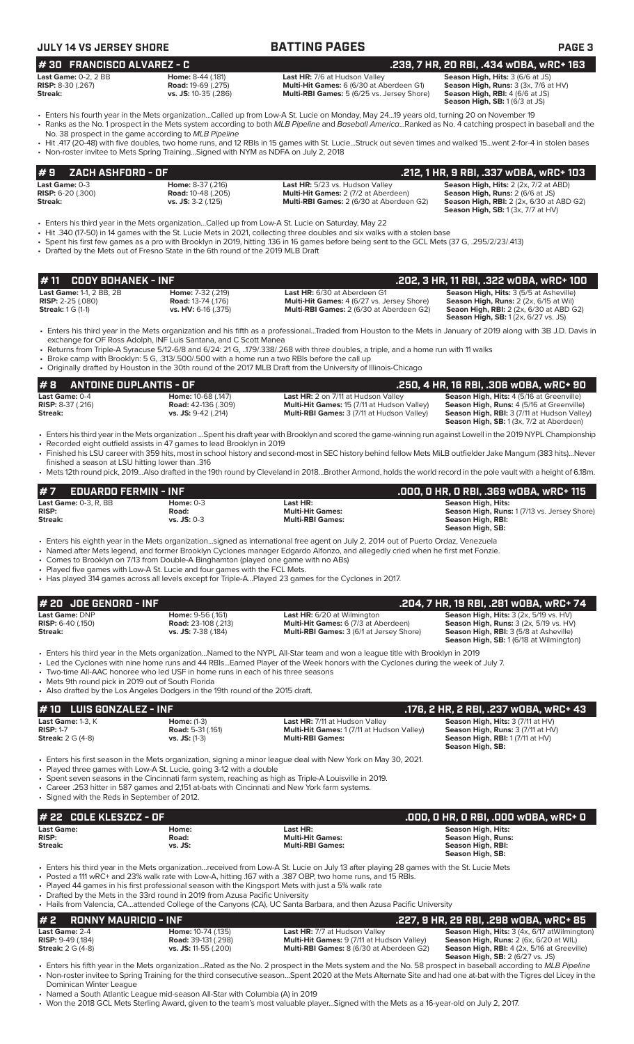| JULY 14 VS JERSEY SHORE        |                           | <b>BATTING PAGES</b>                              | <b>PAGE 3</b>                           |
|--------------------------------|---------------------------|---------------------------------------------------|-----------------------------------------|
| l # 30   FRANCISCO ALVAREZ - C |                           |                                                   | .239. 7 HR. 20 RBI. .434 WOBA. WRC+ 163 |
| Last Game: $0-2$ . $2$ BB      | <b>Home: 8-44 (.181)</b>  | <b>Last HR: 7/6 at Hudson Valley</b>              | <b>Season High, Hits: 3 (6/6 at JS)</b> |
| <b>RISP:</b> 8-30 $(.267)$     | <b>Road: 19-69 (.275)</b> | <b>Multi-Hit Games:</b> 6 (6/30 at Aberdeen G1)   | Season High, Runs: 3 (3x, 7/6 at HV)    |
| Streak:                        | vs. JS: 10-35 (.286)      | <b>Multi-RBI Games:</b> 5 (6/25 vs. Jersey Shore) | <b>Season High, RBI:</b> 4 (6/6 at JS)  |

**Lason High, Hits:** 3 (6/6 at JS) **Season High, Runs: 3 (3x, 7/6 at HV) Season High, RBI:** 4 (6/6 at JS)<br>**Season High, RBI:** 4 (6/6 at JS)<br>**Season High, SB:** 1 (6/3 at JS) **# 30 FRANCISCO ALVAREZ - C .239, 7 HR, 20 RBI, .434 wOBA, wRC+ 163**

• Enters his fourth year in the Mets organization...Called up from Low-A St. Lucie on Monday, May 24...19 years old, turning 20 on November 19 • Ranks as the No. 1 prospect in the Mets system according to both *MLB Pipeline* and *Baseball America*...Ranked as No. 4 catching prospect in baseball and the

No. 38 prospect in the game according to *MLB Pipeline*

• Hit .417 (20-48) with five doubles, two home runs, and 12 RBIs in 15 games with St. Lucie...Struck out seven times and walked 15...went 2-for-4 in stolen bases • Non-roster invitee to Mets Spring Training...Signed with NYM as NDFA on July 2, 2018

| #9 ZACH ASHFORD - OF         |                           |                                                 | .212. 1 HR. 9 RBI. .337 wOBA. wRC+ 103          |
|------------------------------|---------------------------|-------------------------------------------------|-------------------------------------------------|
| <b>Last Game:</b> 0-3        | <b>Home:</b> 8-37 (.216)  | Last HR: 5/23 vs. Hudson Valley                 | <b>Season High, Hits: 2 (2x, 7/2 at ABD)</b>    |
| <b>RISP:</b> $6-20$ $(.300)$ | <b>Road:</b> 10-48 (.205) | <b>Multi-Hit Games: 2 (7/2 at Aberdeen)</b>     | <b>Season High, Runs: 2 (6/6 at JS)</b>         |
| Streak:                      | $vs.$ JS: 3-2 (.125)      | <b>Multi-RBI Games: 2 (6/30 at Aberdeen G2)</b> | <b>Season High, RBI:</b> 2 (2x, 6/30 at ABD G2) |
|                              |                           |                                                 | <b>Season High, SB:</b> $1(3x, 7/7$ at $HV$ )   |

• Enters his third year in the Mets organization...Called up from Low-A St. Lucie on Saturday, May 22

- Hit .340 (17-50) in 14 games with the St. Lucie Mets in 2021, collecting three doubles and six walks with a stolen base
- Spent his first few games as a pro with Brooklyn in 2019, hitting .136 in 16 games before being sent to the GCL Mets (37 G, .295/2/23/.413)
- Drafted by the Mets out of Fresno State in the 6th round of the 2019 MLB Draft

|                                 |                            |                                                   | .202, 3 HR, 11 RBI, .322 wOBA, wRC+ 100        |
|---------------------------------|----------------------------|---------------------------------------------------|------------------------------------------------|
| <b>Last Game: 1-1, 2 BB, 2B</b> | <b>Home: 7-32 (.219)</b>   | Last HR: 6/30 at Aberdeen G1                      | <b>Season High, Hits: 3 (5/5 at Asheville)</b> |
| <b>RISP:</b> $2-25$ (.080)      | <b>Road:</b> 13-74 (.176)  | <b>Multi-Hit Games: 4 (6/27 vs. Jersey Shore)</b> | <b>Season High, Runs:</b> 2 (2x, 6/15 at Wil)  |
| <b>Streak:</b> 1 G (1-1)        | <b>vs. HV:</b> 6-16 (.375) | <b>Multi-RBI Games:</b> 2 (6/30 at Aberdeen G2)   | <b>Seaon High, RBI:</b> 2 (2x, 6/30 at ABD G2) |
|                                 |                            |                                                   | <b>Season High, SB:</b> 1 (2x, 6/27 vs. JS)    |

• Enters his third year in the Mets organization and his fifth as a professional...Traded from Houston to the Mets in January of 2019 along with 3B J.D. Davis in exchange for OF Ross Adolph, INF Luis Santana, and C Scott Manea

• Returns from Triple-A Syracuse 5/12-6/8 and 6/24: 21 G, ..179/.338/.268 with three doubles, a triple, and a home run with 11 walks

• Broke camp with Brooklyn: 5 G, .313/.500/.500 with a home run a two RBIs before the call up

• Originally drafted by Houston in the 30th round of the 2017 MLB Draft from the University of Illinois-Chicago

|                            | $\#$ 8 ANTOINE DUPLANTIS - OF |                            |                                                    | . 250, 4 HR, 16 RBI, .306 wOBA, wRC+ 90 .          |
|----------------------------|-------------------------------|----------------------------|----------------------------------------------------|----------------------------------------------------|
| <b>Last Game: 0-4</b>      |                               | <b>Home: 10-68 (.147)</b>  | <b>Last HR:</b> 2 on 7/11 at Hudson Valley         | <b>Season High, Hits: 4 (5/16 at Greenville)</b>   |
| <b>RISP:</b> $8-37$ (.216) |                               | <b>Road:</b> 42-136 (.309) | <b>Multi-Hit Games: 15 (7/11 at Hudson Valley)</b> | <b>Season High, Runs:</b> 4 (5/16 at Greenville)   |
| Streak:                    |                               | $vs.$ JS: $9-42$ (.214)    | <b>Multi-RBI Games:</b> 3 (7/11 at Hudson Valley)  | <b>Season High, RBI:</b> 3 (7/11 at Hudson Valley) |
|                            |                               |                            |                                                    | Season High, SB: 1 (3x, 7/2 at Aberdeen)           |

• Enters his third year in the Mets organization ...Spent his draft year with Brooklyn and scored the game-winning run against Lowell in the 2019 NYPL Championship • Recorded eight outfield assists in 47 games to lead Brooklyn in 2019 • Finished his LSU career with 359 hits, most in school history and second-most in SEC history behind fellow Mets MiLB outfielder Jake Mangum (383 hits)...Never

finished a season at LSU hitting lower than .316 • Mets 12th round pick, 2019...Also drafted in the 19th round by Cleveland in 2018...Brother Armond, holds the world record in the pole vault with a height of 6.18m.

| $#7$ EDUARDO FERMIN - INF    |               |                         | .000, 0 HR, 0 RBI, .369 w0BA, wRC+ 115              |
|------------------------------|---------------|-------------------------|-----------------------------------------------------|
| <b>Last Game: 0-3, R, BB</b> | Home: $0-3$   | Last HR:                | <b>Season High, Hits:</b>                           |
| <b>RISP:</b>                 | Road:         | <b>Multi-Hit Games:</b> | <b>Season High, Runs: 1 (7/13 vs. Jersey Shore)</b> |
| Streak:                      | $vs.$ JS: 0-3 | <b>Multi-RBI Games:</b> | Season High, RBI:                                   |
|                              |               |                         | Season High, SB:                                    |

• Enters his eighth year in the Mets organization...signed as international free agent on July 2, 2014 out of Puerto Ordaz, Venezuela

• Named after Mets legend, and former Brooklyn Cyclones manager Edgardo Alfonzo, and allegedly cried when he first met Fonzie.

• Comes to Brooklyn on 7/13 from Double-A Binghamton (played one game with no ABs)

Played five games with Low-A St. Lucie and four games with the FCL Mets.

• Has played 314 games across all levels except for Triple-A...Played 23 games for the Cyclones in 2017.

| $#$ 20 $\sqrt{10E}$ GENORD - INF             |                                                        |                                                                                   | ' .204, 7 HR, 19 RBI, .281 wOBA, wRC+ 74 ,                                                                |
|----------------------------------------------|--------------------------------------------------------|-----------------------------------------------------------------------------------|-----------------------------------------------------------------------------------------------------------|
| Last Game: DNP<br><b>RISP:</b> $6-40$ (.150) | <b>Home: 9-56 (.161)</b><br><b>Road:</b> 23-108 (.213) | <b>Last HR:</b> 6/20 at Wilmington<br><b>Multi-Hit Games:</b> 6 (7/3 at Aberdeen) | <b>Season High, Hits:</b> $3$ ( $2x$ , $5/19$ vs. $HV$ )<br><b>Season High, Runs: 3 (2x, 5/19 vs. HV)</b> |
| Streak:                                      | vs. JS: 7-38 (.184)                                    | Multi-RBI Games: 3 (6/1 at Jersey Shore)                                          | <b>Season High, RBI: 3 (5/8 at Asheville)</b><br><b>Season High, SB: 1 (6/18 at Wilmington)</b>           |

• Enters his third year in the Mets organization...Named to the NYPL All-Star team and won a league title with Brooklyn in 2019

• Led the Cyclones with nine home runs and 44 RBIs...Earned Player of the Week honors with the Cyclones during the week of July 7.

• Two-time All-AAC honoree who led USF in home runs in each of his three seasons

Mets 9th round pick in 2019 out of South Florida

• Also drafted by the Los Angeles Dodgers in the 19th round of the 2015 draft.

|             | $# 10$ LUIS GONZALEZ - INF                           |                                                                |                                                                                                                       | .176, 2 HR, 2 RBI, .237 wOBA, wRC+ 43                                                                                                        |
|-------------|------------------------------------------------------|----------------------------------------------------------------|-----------------------------------------------------------------------------------------------------------------------|----------------------------------------------------------------------------------------------------------------------------------------------|
| $RISP: 1-7$ | <b>Last Game: 1-3, K</b><br><b>Streak:</b> 2 G (4-8) | Home: $(1-3)$<br><b>Road:</b> 5-31 (.161)<br>$vs.$ JS: $(1-3)$ | <b>Last HR: 7/11 at Hudson Valley</b><br><b>Multi-Hit Games: 1 (7/11 at Hudson Valley)</b><br><b>Multi-RBI Games:</b> | <b>Season High, Hits: 3 (7/11 at HV)</b><br><b>Season High, Runs: 3 (7/11 at HV)</b><br>Season High, RBI: 1 (7/11 at HV)<br>Season High, SB: |

• Enters his first season in the Mets organization, signing a minor league deal with New York on May 30, 2021.

Played three games with Low-A St. Lucie, going 3-12 with a double

• Spent seven seasons in the Cincinnati farm system, reaching as high as Triple-A Louisville in 2019.

• Career .253 hitter in 587 games and 2,151 at-bats with Cincinnati and New York farm systems.

• Signed with the Reds in September of 2012.

| $#$ 22 COLE KLESZCZ – OF              |                           |                                                                                                                                                                                                                                                                                                                                                               | .000. O HR. O RBI. .000 WOBA. WRC+ O                                                     |
|---------------------------------------|---------------------------|---------------------------------------------------------------------------------------------------------------------------------------------------------------------------------------------------------------------------------------------------------------------------------------------------------------------------------------------------------------|------------------------------------------------------------------------------------------|
| Last Game:<br><b>RISP:</b><br>Streak: | Home:<br>Road:<br>vs. JS: | Last HR:<br><b>Multi-Hit Games:</b><br><b>Multi-RBI Games:</b>                                                                                                                                                                                                                                                                                                | Season High, Hits:<br><b>Season High, Runs:</b><br>Season High, RBI:<br>Season High, SB: |
|                                       |                           | • Enters his third year in the Mets organizationreceived from Low-A St. Lucie on July 13 after playing 28 games with the St. Lucie Mets<br>• Posted a 111 wRC+ and 23% walk rate with Low-A, hitting .167 with a .387 OBP, two home runs, and 15 RBIs.<br>. Played 44 games in his first professional season with the Kingsport Mets with just a 5% walk rate |                                                                                          |

• Played 44 games in his first professional season with the Kingsport Mets with just a 5% walk rate

• Drafted by the Mets in the 33rd round in 2019 from Azusa Pacific University • Hails from Valencia, CA...attended College of the Canyons (CA), UC Santa Barbara, and then Azusa Pacific University

### **# 2 RONNY MAURICIO - INF .227, 9 HR, 29 RBI, .298 wOBA, wRC+ 85 Last HR:** 7/7 at Hudson Valley **Season High, Hits:** 3 (4x, 6/17 atWilmington)<br> **Road:** 39-131 (.298) **Multi-Hit Games:** 9 (7/11 at Hudson Valley) **Season High, Runs:** 2 (6x, 6/20 at WIL) **Cast Game: 2-4 RISP: RISP:** 2-4 **RISP:** 2-4<br> **RISP:** 9-49 (.184) **Road:** 39-131 (.298) **Multi-Hit Games:** 9 (7/11 at Hudson Valley)<br> **Streak:** 2 G (4-8) **Road: 39-131 (.298) Multi-RBI Games:** 8 (6/30 at Aberdeen G2 **Multi-RBI Games:** 8 (6/30 at Aberdeen G2) **Season High, RBI:** 4 (2x, 5/16 at Greeville)<br>**Season High, RBI:** 4 (2x, 5/16 at Greeville)

• Enters his fifth year in the Mets organization...Rated as the No. 2 prospect in the Mets system and the No. 58 prospect in baseball according to *MLB Pipeline* • Non-roster invitee to Spring Training for the third consecutive season...Spent 2020 at the Mets Alternate Site and had one at-bat with the Tigres del Licey in the Dominican Winter League

• Named a South Atlantic League mid-season All-Star with Columbia (A) in 2019

• Won the 2018 GCL Mets Sterling Award, given to the team's most valuable player...Signed with the Mets as a 16-year-old on July 2, 2017.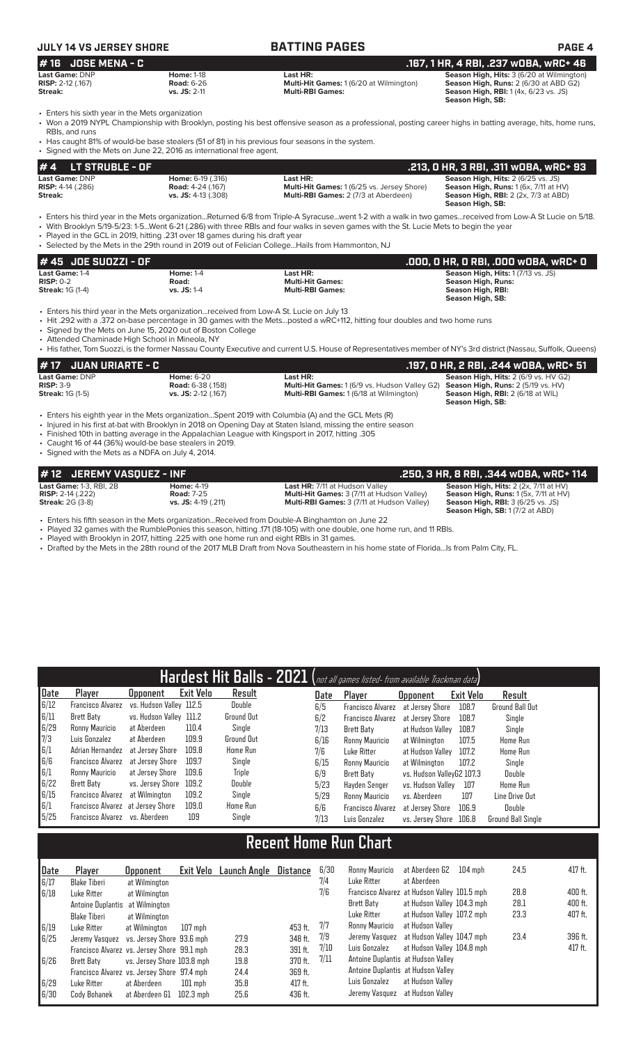# **JULY 14 VS JERSEY SHORE BATTING PAGES PAGE 4**

| # 16 JOSE MENA - C         |                   |                                                | .167, 1 HR, 4 RBI, .237 wOBA, wRC+ 46            |
|----------------------------|-------------------|------------------------------------------------|--------------------------------------------------|
| <b>Last Game: DNP</b>      | <b>Home: 1-18</b> | Last HR:                                       | <b>Season High, Hits: 3 (6/20 at Wilmington)</b> |
| <b>RISP:</b> $2-12$ (.167) | <b>Road: 6-26</b> | <b>Multi-Hit Games: 1 (6/20 at Wilmington)</b> | <b>Season High, Runs: 2 (6/30 at ABD G2)</b>     |
| Streak:                    | $vs.$ JS: 2-11    | <b>Multi-RBI Games:</b>                        | <b>Season High, RBI:</b> 1(4x, 6/23 vs. JS)      |
|                            |                   |                                                | Season High, SB:                                 |

• Enters his sixth year in the Mets organization

• Won a 2019 NYPL Championship with Brooklyn, posting his best offensive season as a professional, posting career highs in batting average, hits, home runs, RBIs, and runs

• Has caught 81% of would-be base stealers (51 of 81) in his previous four seasons in the system. Signed with the Mets on June 22, 2016 as international free agent.

| $# 4$ LT STRUBLE - OF      |                          |                                                   | .213, 0 HR, 3 RBI, .311 wOBA, wRC+ 93               |
|----------------------------|--------------------------|---------------------------------------------------|-----------------------------------------------------|
| Last Game: DNP             | <b>Home: 6-19 (.316)</b> | Last HR:                                          | <b>Season High, Hits: 2 (6/25 vs. JS)</b>           |
| <b>RISP:</b> $4-14$ (.286) | <b>Road:</b> 4-24 (.167) | <b>Multi-Hit Games: 1 (6/25 vs. Jersey Shore)</b> | <b>Season High, Runs:</b> $1(6x, 7/11$ at $HV$ )    |
| Streak:                    | $vs.$ JS: 4-13 (.308)    | <b>Multi-RBI Games: 2 (7/3 at Aberdeen)</b>       | <b>Season High, RBI:</b> $2$ ( $2x$ , $7/3$ at ABD) |
|                            |                          |                                                   | Season High, SB:                                    |

• Enters his third year in the Mets organization...Returned 6/8 from Triple-A Syracuse...went 1-2 with a walk in two games...received from Low-A St Lucie on 5/18.

• With Brooklyn 5/19-5/23: 1-5...Went 6-21 (.286) with three RBIs and four walks in seven games with the St. Lucie Mets to begin the year

• Played in the GCL in 2019, hitting .231 over 18 games during his draft year • Selected by the Mets in the 29th round in 2019 out of Felician College...Hails from Hammonton, NJ

| # 45 JOE SUOZZI - OF    |                  |                         | .000, 0 HR, 0 RBI, .000 w0BA, wRC+ 0 .    |
|-------------------------|------------------|-------------------------|-------------------------------------------|
| <b>Last Game: 1-4</b>   | <b>Home: 1-4</b> | Last HR:                | <b>Season High, Hits: 1 (7/13 vs. JS)</b> |
| $RISP: 0-2$             | Road:            | <b>Multi-Hit Games:</b> | <b>Season High, Runs:</b>                 |
| <b>Streak: 1G (1-4)</b> | $vs.$ JS: 1-4    | <b>Multi-RBI Games:</b> | Season High, RBI:                         |
|                         |                  |                         | Season High, SB:                          |

• Enters his third year in the Mets organization...received from Low-A St. Lucie on July 13

• Hit .292 with a .372 on-base percentage in 30 games with the Mets...posted a wRC+112, hitting four doubles and two home runs

Signed by the Mets on June 15, 2020 out of Boston College

• Attended Chaminade High School in Mineola, NY • His father, Tom Suozzi, is the former Nassau County Executive and current U.S. House of Representatives member of NY's 3rd district (Nassau, Suffolk, Queens)

| # 17 JUAN URIARTE - C   |                          |                                                                                                | .197. O HR. 2 RBI. .244 wOBA. wRC+ 51       |
|-------------------------|--------------------------|------------------------------------------------------------------------------------------------|---------------------------------------------|
| Last Game: DNP          | <b>Home: 6-20</b>        | Last HR:                                                                                       | <b>Season High, Hits: 2 (6/9 vs. HV G2)</b> |
| $RISP: 3-9$             | <b>Road:</b> 6-38 (.158) | <b>Multi-Hit Games:</b> 1 (6/9 vs. Hudson Valley G2) <b>Season High, Runs:</b> 2 (5/19 vs. HV) |                                             |
| <b>Streak: 1G (1-5)</b> | vs. JS: 2-12 (.167)      | <b>Multi-RBI Games: 1 (6/18 at Wilmington)</b>                                                 | <b>Season High, RBI:</b> 2 (6/18 at WIL)    |
|                         |                          |                                                                                                | Season High, SB:                            |

• Enters his eighth year in the Mets organization...Spent 2019 with Columbia (A) and the GCL Mets (R)

• Injured in his first at-bat with Brooklyn in 2018 on Opening Day at Staten Island, missing the entire season

• Finished 10th in batting average in the Appalachian League with Kingsport in 2017, hitting .305

• Caught 16 of 44 (36%) would-be base stealers in 2019.

• Signed with the Mets as a NDFA on July 4, 2014.

| # 12 JEREMY VASQUEZ - INF      |                     |                                                   | .250, 3 HR, 8 RBI, .344 wOBA, wRC+ 114                  |
|--------------------------------|---------------------|---------------------------------------------------|---------------------------------------------------------|
| <b>Last Game: 1-3, RBI, 2B</b> | <b>Home: 4-19</b>   | <b>Last HR: 7/11 at Hudson Valley</b>             | <b>Season High, Hits:</b> $2$ ( $2x$ , $7/11$ at $HV$ ) |
| <b>RISP:</b> 2-14 $(.222)$     | <b>Road: 7-25</b>   | <b>Multi-Hit Games: 3 (7/11 at Hudson Valley)</b> | <b>Season High, Runs:</b> $1(5x, 7/11$ at $HV$ )        |
| <b>Streak: 2G (3-8)</b>        | vs. JS: 4-19 (.211) | <b>Multi-RBI Games: 3 (7/11 at Hudson Valley)</b> | <b>Season High, RBI:</b> 3 (6/25 vs. JS)                |
|                                |                     |                                                   | <b>Season High, SB: 1 (7/2 at ABD)</b>                  |

• Enters his fifth season in the Mets organization...Received from Double-A Binghamton on June 22

• Played 32 games with the RumblePonies this season, hitting .171 (18-105) with one double, one home run, and 11 RBIs.

Played with Brooklyn in 2017, hitting .225 with one home run and eight RBIs in 31 games.

• Drafted by the Mets in the 28th round of the 2017 MLB Draft from Nova Southeastern in his home state of Florida...Is from Palm City, FL.

|      |                                   |                         |           |                 |      | Hardest Hit Balls - 2021 (not all games listed- from available Trackman data) |                           |           |                           |
|------|-----------------------------------|-------------------------|-----------|-----------------|------|-------------------------------------------------------------------------------|---------------------------|-----------|---------------------------|
| Date | Player                            | Upponent                | Exit Velo | Result          | Date | Player                                                                        | <b>Opponent</b>           | Exit Velo | Result                    |
| 6/12 | Francisco Alvarez                 | vs. Hudson Valley 112.5 |           | Double          | 6/5  | <b>Francisco Alvarez</b>                                                      | at Jersev Shore           | 108.7     | <b>Ground Ball Out</b>    |
| 6/11 | <b>Brett Baty</b>                 | vs. Hudson Valley 111.2 |           | Ground Out      | 6/2  | <b>Francisco Alvarez</b>                                                      | at Jersev Shore           | 108.7     | Single                    |
| 6/29 | Ronny Mauricio                    | at Aberdeen             | 110.4     | Single          | 7/13 | Brett Baty                                                                    | at Hudson Vallev          | 108.7     | Single                    |
| 7/3  | Luis Gonzalez                     | at Aberdeen             | 109.9     | Ground Out      | 6/16 | Ronny Mauricio                                                                | at Wilmington             | 107.5     | Home Run                  |
| 6/1  | Adrian Hernandez                  | at Jersev Shore         | 109.8     | <b>Home Run</b> | 7/6  | Luke Ritter                                                                   | at Hudson Valley          | 107.2     | <b>Home Run</b>           |
| 6/6  | Francisco Alvarez                 | at Jersev Shore         | 109.7     | Single          | 6/15 | Ronny Mauricio                                                                | at Wilmington             | 107.2     | Single                    |
| 6/1  | Ronny Mauricio                    | at Jersey Shore         | 109.6     | Triple          | 6/9  | Brett Baty                                                                    | vs. Hudson ValleyG2 107.3 |           | Double                    |
| 6/22 | Brett Baty                        | vs. Jersev Shore        | 109.2     | Double          | 5/23 | Havden Senger                                                                 | vs. Hudson Vallev         | 107       | Home Run                  |
| 6/15 | Francisco Alvarez                 | at Wilmington           | 109.2     | Single          | 5/29 | Ronny Mauricio                                                                | vs. Aberdeen              | 107       | Line Drive Out            |
| 6/1  | Francisco Alvarez at Jersey Shore |                         | 109.0     | <b>Home Run</b> | 6/6  | <b>Francisco Alvarez</b>                                                      | at Jersev Shore           | 106.9     | Double                    |
| 5/25 | Francisco Alvarez                 | vs. Aberdeen            | 109       | Single          | 7/13 | Luis Gonzalez                                                                 | vs. Jersev Shore          | 106.8     | <b>Ground Ball Single</b> |

# **Recent Home Run Chart**

| Date | Player                                      | Opponent                   | Exit Velo   | Launch Angle | Distance | 6/30 | Ronny Mauricio                               | at Aberdeen G2             | $104$ mph | 24.5 | 417 ft. |
|------|---------------------------------------------|----------------------------|-------------|--------------|----------|------|----------------------------------------------|----------------------------|-----------|------|---------|
| 6/17 | <b>Blake Tiberi</b>                         | at Wilmington              |             |              |          | 7/4  | Luke Ritter                                  | at Aberdeen                |           |      |         |
| 6/18 | Luke Ritter                                 | at Wilmington              |             |              |          | 7/6  | Francisco Alvarez at Hudson Valley 101.5 mph |                            |           | 28.8 | 400 ft. |
|      | Antoine Duplantis at Wilmington             |                            |             |              |          |      | <b>Brett Baty</b>                            | at Hudson Valley 104.3 mph |           | 28.1 | 400 ft. |
|      | Blake Tiberi                                | at Wilmington              |             |              |          |      | Luke Ritter                                  | at Hudson Valley 107.2 mph |           | 23.3 | 407 ft. |
| 6/19 | Luke Ritter                                 | at Wilmington              | 107 mph     |              | 453 ft.  | 7/7  | Ronny Mauricio                               | at Hudson Valley           |           |      |         |
| 6/25 | Jeremy Vasquez vs. Jersey Shore 93.6 mph    |                            |             | 27.9         | 348 ft.  | 7/9  | Jeremy Vasquez at Hudson Valley 104.7 mph    |                            |           | 23.4 | 396 ft. |
|      | Francisco Alvarez vs. Jersey Shore 99.1 mph |                            |             | 28.3         | 391 ft.  | 7/10 | Luis Gonzalez                                | at Hudson Valley 104.8 mph |           |      | 417 ft. |
| 6/26 | Brett Baty                                  | vs. Jersey Shore 103.8 mph |             | 19.8         | 370 ft.  | 7/11 | Antoine Duplantis at Hudson Valley           |                            |           |      |         |
|      | Francisco Alvarez vs. Jersey Shore 97.4 mph |                            |             | 24.4         | 369 ft.  |      | Antoine Duplantis at Hudson Valley           |                            |           |      |         |
| 6/29 | Luke Ritter                                 | at Aberdeen                | $101$ mph   | 35.8         | 417 ft.  |      | Luis Gonzalez                                | at Hudson Vallev           |           |      |         |
| 6/30 | Cody Bohanek                                | at Aberdeen G1             | $102.3$ mph | 25.6         | 436 ft.  |      | Jeremy Vasquez at Hudson Valley              |                            |           |      |         |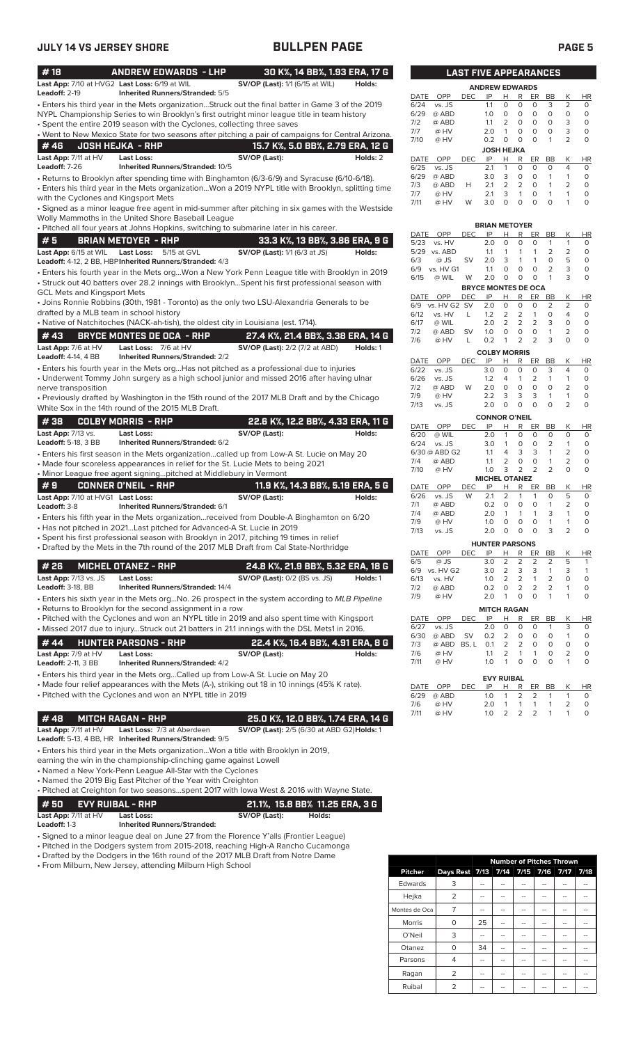| #18                                                                   | <b>ANDREW EDWARDS - LHP</b>                                                                                                                                                                       | 30 K%, 14 BB%, 1.93 ERA, 17 G                      |          |              |                         |                 | <b>LAST FIVE APPEARANCES</b> |                                                     |                                |                         |                                |                                |
|-----------------------------------------------------------------------|---------------------------------------------------------------------------------------------------------------------------------------------------------------------------------------------------|----------------------------------------------------|----------|--------------|-------------------------|-----------------|------------------------------|-----------------------------------------------------|--------------------------------|-------------------------|--------------------------------|--------------------------------|
| Last App: 7/10 at HVG2 Last Loss: 6/19 at WIL<br><b>Leadoff: 2-19</b> |                                                                                                                                                                                                   | SV/OP (Last): 1/1 (6/15 at WIL)                    | Holds:   |              |                         |                 | <b>ANDREW EDWARDS</b>        |                                                     |                                |                         |                                |                                |
|                                                                       | <b>Inherited Runners/Stranded: 5/5</b>                                                                                                                                                            |                                                    |          | DATE         | OPP                     | DEC.            | IP                           | H.<br>R                                             | ER                             | BB                      | Κ                              | HI                             |
|                                                                       | · Enters his third year in the Mets organizationStruck out the final batter in Game 3 of the 2019<br>NYPL Championship Series to win Brooklyn's first outright minor league title in team history |                                                    |          | 6/24<br>6/29 | vs. JS<br>@ ABD         |                 | 1.1<br>1.0                   | 0<br>0<br>$\circ$<br>0                              | 0<br>$\circ$                   | 3<br>$\circ$            | 2<br>$\mathbf 0$               | 0<br>$\mathbf 0$               |
|                                                                       | • Spent the entire 2019 season with the Cyclones, collecting three saves                                                                                                                          |                                                    |          | 7/2          | @ ABD                   |                 | 1.1                          | 2<br>$\circ$                                        | $\circ$                        | 0                       | 3                              | 0                              |
|                                                                       | . Went to New Mexico State for two seasons after pitching a pair of campaigns for Central Arizona.                                                                                                |                                                    |          | 7/7          | @ HV                    |                 | 2.0                          | $\mathbf{1}$<br>0                                   | 0                              | 0                       | 3                              | 0                              |
| #46                                                                   | <b>JOSH HEJKA - RHP</b>                                                                                                                                                                           | 15.7 K%, 5.0 BB%, 2.79 ERA, 12 G                   |          | 7/10         | @ HV                    |                 | 0.2                          | $\mathbf 0$<br>0                                    | $\circ$                        | 1                       | $\overline{2}$                 | 0                              |
| Last App: 7/11 at HV                                                  | Last Loss:                                                                                                                                                                                        | SV/OP (Last):                                      | Holds: 2 | DATE         | OPP                     | <b>DEC</b>      | IP                           | <b>JOSH HEJKA</b><br>н<br>R                         | ER                             | BB                      | Κ                              | HI                             |
| Leadoff: 7-26                                                         | Inherited Runners/Stranded: 10/5                                                                                                                                                                  |                                                    |          | 6/25         | vs. JS                  |                 | 2.1                          | $\mathbf{1}$<br>0                                   | $\circ$                        | 0                       | 4                              | $\mathbf 0$                    |
|                                                                       | · Returns to Brooklyn after spending time with Binghamton (6/3-6/9) and Syracuse (6/10-6/18).                                                                                                     |                                                    |          | 6/29         | @ ABD                   |                 | 3.0                          | 3<br>0                                              | 0                              | 1                       | $\mathbf{1}$                   | 0                              |
|                                                                       | Enters his third year in the Mets organizationWon a 2019 NYPL title with Brooklyn, splitting time •                                                                                               |                                                    |          | 7/3          | @ ABD                   | H               | 2.1                          | 2<br>2                                              | $\circ$                        | 1                       | $\overline{2}$<br>$\mathbf{1}$ | 0<br>0                         |
| with the Cyclones and Kingsport Mets                                  |                                                                                                                                                                                                   |                                                    |          | 7/7<br>7/11  | @ HV<br>@ HV            | W               | 2.1<br>3.0                   | 3<br>$\mathbf{1}$<br>$\circ$<br>$\mathbf 0$         | 0<br>$\circ$                   | 1<br>$\circ$            | $\mathbf{1}$                   | 0                              |
|                                                                       | Signed as a minor league free agent in mid-summer after pitching in six games with the Westside                                                                                                   |                                                    |          |              |                         |                 |                              |                                                     |                                |                         |                                |                                |
|                                                                       | Wolly Mammoths in the United Shore Baseball League                                                                                                                                                |                                                    |          |              |                         |                 | <b>BRIAN METOYER</b>         |                                                     |                                |                         |                                |                                |
|                                                                       | · Pitched all four years at Johns Hopkins, switching to submarine later in his career.                                                                                                            |                                                    |          | DATE         | OPP                     | <b>DEC</b>      | IP                           | Н<br>R                                              | ER                             | BB                      | Κ                              | HI                             |
| #5                                                                    | <b>BRIAN METOYER - RHP</b>                                                                                                                                                                        | 33.3 K%, 13 BB%, 3.86 ERA, 9 G                     |          | 5/23         | vs. HV                  |                 | 2.0                          | 0<br>0                                              | $\mathbf 0$                    | 1                       | $\mathbf{1}$                   | 0                              |
| Last App: 6/15 at WIL                                                 | Last Loss:<br>5/15 at GVL                                                                                                                                                                         | <b>SV/OP (Last):</b> 1/1 (6/3 at JS)               | Holds:   | 6/3          | 5/29 vs. ABD            |                 | 1.1<br>2.0                   | 1<br>1<br>3<br>$\mathbf{1}$                         | $\mathbf{1}$<br>$\mathbf{1}$   | $\overline{2}$<br>0     | $\overline{2}$<br>5            | 0                              |
|                                                                       | Leadoff: 4-12, 2 BB, HBP Inherited Runners/Stranded: 4/3                                                                                                                                          |                                                    |          | 6/9          | @ JS<br>vs. HV G1       | <b>SV</b>       | 1.1                          | O<br>0                                              | 0                              | 2                       | 3                              | 0<br>0                         |
|                                                                       | · Enters his fourth year in the Mets orgWon a New York Penn League title with Brooklyn in 2019                                                                                                    |                                                    |          | 6/15         | @ WIL                   | W               | 2.0                          | 0<br>0                                              | $\mathbf 0$                    | $\mathbf{1}$            | 3                              | 0                              |
| <b>GCL Mets and Kingsport Mets</b>                                    | · Struck out 40 batters over 28.2 innings with BrooklynSpent his first professional season with                                                                                                   |                                                    |          |              |                         |                 | <b>BRYCE MONTES DE OCA</b>   |                                                     |                                |                         |                                |                                |
|                                                                       | • Joins Ronnie Robbins (30th, 1981 - Toronto) as the only two LSU-Alexandria Generals to be                                                                                                       |                                                    |          |              | DATE OPP                | <b>DEC</b>      | IP                           | H<br>R                                              | ER                             | BB                      | Κ                              | HI                             |
| drafted by a MLB team in school history                               |                                                                                                                                                                                                   |                                                    |          | 6/9<br>6/12  | vs. HV G2 SV<br>vs. HV  |                 | 2.0                          | $\mathbf 0$<br>$\mathbf 0$                          | 0<br>$\mathbf{1}$              | $\overline{2}$<br>O     | $\overline{2}$<br>4            | $\mathbf 0$<br>0               |
|                                                                       | · Native of Natchitoches (NACK-ah-tish), the oldest city in Louisiana (est. 1714).                                                                                                                |                                                    |          | 6/17         | @ WIL                   | L               | 1.2<br>2.0                   | 2<br>2<br>$\overline{2}$<br>$\overline{2}$          | 2                              | 3                       | $\circ$                        | $\mathbf 0$                    |
|                                                                       |                                                                                                                                                                                                   |                                                    |          | 7/2          | @ ABD                   | <b>SV</b>       | 1.0                          | 0<br>0                                              | 0                              | $\mathbf{1}$            | 2                              | 0                              |
| #43                                                                   | <b>BRYCE MONTES DE OCA - RHP</b>                                                                                                                                                                  | 27.4 K%, 21.4 BB%, 3.38 ERA, 14 G                  |          | 7/6          | @ HV                    | L               | 0.2                          | 2<br>1                                              | 2                              | 3                       | $\circ$                        | 0                              |
| Last App: 7/6 at HV<br><b>Leadoff: 4-14, 4 BB</b>                     | Last Loss: 7/6 at HV                                                                                                                                                                              | <b>SV/OP (Last):</b> 2/2 (7/2 at ABD)              | Holds: 1 |              |                         |                 | <b>COLBY MORRIS</b>          |                                                     |                                |                         |                                |                                |
|                                                                       | <b>Inherited Runners/Stranded: 2/2</b>                                                                                                                                                            |                                                    |          | DATE         | OPP                     | <b>DEC</b>      | IP                           | R<br>н                                              | ER                             | BB                      | Κ                              | HI                             |
|                                                                       | • Enters his fourth year in the Mets orgHas not pitched as a professional due to injuries                                                                                                         |                                                    |          | 6/22         | vs. JS                  |                 | 3.0                          | $\circ$<br>0                                        | $\circ$                        | 3                       | $\overline{4}$                 | $\Omega$                       |
| nerve transposition                                                   | • Underwent Tommy John surgery as a high school junior and missed 2016 after having ulnar                                                                                                         |                                                    |          | 6/26<br>7/2  | vs. JS<br>@ ABD         | W               | 1.2<br>2.0                   | 4<br>$\mathbf{1}$<br>$\circ$<br>$\mathbf 0$         | 2<br>$\circ$                   | $\mathbf{1}$<br>$\circ$ | 1<br>2                         | 0<br>$\Omega$                  |
|                                                                       | • Previously drafted by Washington in the 15th round of the 2017 MLB Draft and by the Chicago                                                                                                     |                                                    |          | 7/9          | @ HV                    |                 | 2.2                          | 3<br>3                                              | 3                              | 1                       | 1                              | 0                              |
|                                                                       | White Sox in the 14th round of the 2015 MLB Draft.                                                                                                                                                |                                                    |          | 7/13         | vs. JS                  |                 | 2.0                          | $\circ$<br>$\mathbf 0$                              | $\Omega$                       | 0                       | 2                              | 0                              |
|                                                                       |                                                                                                                                                                                                   |                                                    |          |              |                         |                 | <b>CONNOR O'NEIL</b>         |                                                     |                                |                         |                                |                                |
| #38                                                                   | <b>COLBY MORRIS - RHP</b>                                                                                                                                                                         | 22.6 K%, 12.2 BB%, 4.33 ERA, 11 G                  |          | DATE         | OPP                     | <b>DEC</b>      | IP                           | R<br>Н                                              | ER                             | BB                      | Κ                              | HI                             |
| <b>Last App: 7/13 vs.</b><br>Leadoff: 5-18, 3 BB                      | <b>Last Loss:</b><br><b>Inherited Runners/Stranded: 6/2</b>                                                                                                                                       | SV/OP (Last):                                      | Holds:   | 6/20         | @ WIL                   |                 | 2.0                          | $\mathbf 0$<br>$\mathbf{1}$                         | $\mathbf 0$                    | 0                       | 0                              | 0                              |
|                                                                       |                                                                                                                                                                                                   |                                                    |          | 6/24         | vs. JS<br>6/30 @ ABD G2 |                 | 3.0<br>1.1                   | 0<br>$\mathbf{1}$<br>3<br>4                         | 0<br>3                         | $\overline{2}$<br>1     | $\mathbf{1}$<br>$\overline{2}$ | 0<br>0                         |
|                                                                       | · Enters his first season in the Mets organizationcalled up from Low-A St. Lucie on May 20<br>. Made four scoreless appearances in relief for the St. Lucie Mets to being 2021                    |                                                    |          | 7/4          | @ ABD                   |                 | 1.1                          | 2<br>0                                              | $\circ$                        | 1                       | $\overline{2}$                 | 0                              |
|                                                                       | • Minor League free agent signingpitched at Middlebury in Vermont                                                                                                                                 |                                                    |          | 7/10         | @ HV                    |                 | 1.0                          | 3<br>2                                              | $\overline{2}$                 | $\overline{2}$          | 0                              | O                              |
| #9                                                                    |                                                                                                                                                                                                   |                                                    |          |              |                         |                 | <b>MICHEL OTANEZ</b>         |                                                     |                                |                         |                                |                                |
|                                                                       | <b>CONNER O'NEIL - RHP</b>                                                                                                                                                                        | 11.9 K%, 14.3 BB%, 5.19 ERA, 5 G                   |          | DATE<br>6/26 | OPP<br>vs. JS           | <b>DEC</b><br>W | IP<br>2.1                    | R<br>Н<br>$\overline{2}$<br>1                       | ER<br>1                        | <b>BB</b><br>$\circ$    | Κ<br>5                         | HI<br>0                        |
| Last App: 7/10 at HVG1 Last Loss:<br>Leadoff: 3-8                     | Inherited Runners/Stranded: 6/1                                                                                                                                                                   | SV/OP (Last):                                      | Holds:   | 7/1          | @ ABD                   |                 | 0.2                          | $\circ$<br>$\circ$                                  | 0                              | $\mathbf{1}$            | 2                              | 0                              |
|                                                                       | • Enters his fifth year in the Mets organizationreceived from Double-A Binghamton on 6/20                                                                                                         |                                                    |          | 7/4          | @ ABD                   |                 | 2.0                          | 1<br>$\mathbf{1}$                                   | 1                              | 3                       | 1                              | 0                              |
|                                                                       | • Has not pitched in 2021Last pitched for Advanced-A St. Lucie in 2019                                                                                                                            |                                                    |          | 7/9          | @ HV                    |                 | 1.0                          | 0<br>0                                              | 0                              | 1                       | 1                              | 0                              |
|                                                                       | · Spent his first professional season with Brooklyn in 2017, pitching 19 times in relief                                                                                                          |                                                    |          | 7/13         | vs. JS                  |                 | 2.0                          | $\cup$<br>$\cup$                                    | O                              | З                       | 2                              | O                              |
|                                                                       | • Drafted by the Mets in the 7th round of the 2017 MLB Draft from Cal State-Northridge                                                                                                            |                                                    |          |              |                         |                 | <b>HUNTER PARSONS</b>        |                                                     |                                |                         |                                |                                |
|                                                                       |                                                                                                                                                                                                   |                                                    |          |              | DATE OPP                | <b>DEC</b>      | IP                           | H<br>R<br>2                                         | ER<br>2                        | BB<br>2                 | Κ<br>5                         | H <sub>l</sub>                 |
| #26                                                                   | <b>MICHEL OTANEZ - RHP</b>                                                                                                                                                                        | 24.8 K%, 21.9 BB%, 5.32 ERA, 18 G                  |          | 6/5<br>6/9   | @ JS<br>vs. HV G2       |                 | 3.0<br>3.0                   | 2<br>2<br>3                                         | 3                              | 1                       | 3                              | $\overline{1}$<br>$\mathbf{1}$ |
| <b>Last App: 7/13 vs. JS</b>                                          | <b>Last Loss:</b>                                                                                                                                                                                 | <b>SV/OP (Last): 0/2 (BS vs. JS)</b>               | Holds: 1 | 6/13         | vs. HV                  |                 | 1.0                          | $\overline{2}$<br>$\overline{2}$                    | $\mathbf{1}$                   | 2                       | $\mathbf 0$                    | $\circ$                        |
| Leadoff: 3-18, BB                                                     | <b>Inherited Runners/Stranded: 14/4</b>                                                                                                                                                           |                                                    |          | 7/2          | @ ABD                   |                 | 0.2                          | 2<br>0                                              | 2                              | 2                       | 1                              | 0                              |
|                                                                       | · Enters his sixth year in the Mets orgNo. 26 prospect in the system according to MLB Pipeline                                                                                                    |                                                    |          | 7/9          | @ HV                    |                 | 2.0                          | $\mathbf{1}$<br>0                                   | 0                              | $\mathbf{1}$            | 1                              | 0                              |
|                                                                       | • Returns to Brooklyn for the second assignment in a row                                                                                                                                          |                                                    |          |              |                         |                 | <b>MITCH RAGAN</b>           |                                                     |                                |                         |                                |                                |
|                                                                       | • Pitched with the Cyclones and won an NYPL title in 2019 and also spent time with Kingsport                                                                                                      |                                                    |          | DATE         | OPP                     | <b>DEC</b>      | IP                           | н<br>R                                              | ER                             | BB                      | Κ                              | H <sub>1</sub>                 |
|                                                                       | . Missed 2017 due to injuryStruck out 21 batters in 21.1 innings with the DSL Mets1 in 2016.                                                                                                      |                                                    |          | 6/27<br>6/30 | vs. JS<br>@ ABD         | SV              | 2.0<br>0.2                   | 0<br>0<br>2<br>0                                    | 0<br>0                         | 1<br>0                  | 3<br>$\mathbf{1}$              | 0<br>0                         |
| #44                                                                   | <b>HUNTER PARSONS - RHP</b>                                                                                                                                                                       | 22.4 K%, 16.4 BB%, 4.91 ERA, 8 G                   |          | 7/3          | @ ABD BS, L             |                 | 0.1                          | $\overline{2}$<br>$\overline{2}$                    | 0                              | 0                       | 0                              | 0                              |
| Last App: 7/9 at HV                                                   | <b>Last Loss:</b>                                                                                                                                                                                 | SV/OP (Last):                                      | Holds:   | 7/6          | @ HV                    |                 | 1.1                          | 2<br>1                                              | $\mathbf{1}$                   | 0                       | 2                              | $\circ$                        |
| Leadoff: 2-11, 3 BB                                                   | <b>Inherited Runners/Stranded: 4/2</b>                                                                                                                                                            |                                                    |          | 7/11         | @ HV                    |                 | 1.0                          | 0<br>1                                              | 0                              | $\circ$                 | $\mathbf{1}$                   | 0                              |
|                                                                       | • Enters his third year in the Mets orgCalled up from Low-A St. Lucie on May 20                                                                                                                   |                                                    |          |              |                         |                 |                              | <b>EVY RUIBAL</b>                                   |                                |                         |                                |                                |
|                                                                       | • Made four relief appearances with the Mets (A-), striking out 18 in 10 innings (45% K rate).                                                                                                    |                                                    |          | DATE         | OPP                     | DEC             | IP                           | H<br>R                                              | ER                             | BB                      | Κ                              | HI                             |
|                                                                       | • Pitched with the Cyclones and won an NYPL title in 2019                                                                                                                                         |                                                    |          | 6/29         | @ ABD                   |                 | 1.0                          | 2<br>1                                              | 2                              | 1                       | $\mathbf{1}$                   | 0                              |
|                                                                       |                                                                                                                                                                                                   |                                                    |          | 7/6<br>7/11  | @ HV<br>@ HV            |                 | 2.0<br>1.0                   | $\mathbf{1}$<br>$\mathbf{1}$<br>$\overline{2}$<br>2 | $\mathbf{1}$<br>$\overline{2}$ | 1<br>$\mathbf{1}$       | 2<br>$\mathbf{1}$              | 0<br>$\circ$                   |
| #48                                                                   | <b>MITCH RAGAN - RHP</b>                                                                                                                                                                          | 25.0 K%, 12.0 BB%, 1.74 ERA, 14 G                  |          |              |                         |                 |                              |                                                     |                                |                         |                                |                                |
| Last App: 7/11 at HV                                                  | Last Loss: 7/3 at Aberdeen                                                                                                                                                                        | <b>SV/OP (Last):</b> 2/5 (6/30 at ABD G2) Holds: 1 |          |              |                         |                 |                              |                                                     |                                |                         |                                |                                |
|                                                                       | <b>Leadoff:</b> 5-13, 4 BB, HR Inherited Runners/ <b>S</b> tranded: 9/5                                                                                                                           |                                                    |          |              |                         |                 |                              |                                                     |                                |                         |                                |                                |
|                                                                       | • Enters his third year in the Mets organizationWon a title with Brooklyn in 2019,                                                                                                                |                                                    |          |              |                         |                 |                              |                                                     |                                |                         |                                |                                |
|                                                                       | earning the win in the championship-clinching game against Lowell                                                                                                                                 |                                                    |          |              |                         |                 |                              |                                                     |                                |                         |                                |                                |
|                                                                       | • Named a New York-Penn League All-Star with the Cyclones                                                                                                                                         |                                                    |          |              |                         |                 |                              |                                                     |                                |                         |                                |                                |
|                                                                       | • Named the 2019 Big East Pitcher of the Year with Creighton                                                                                                                                      |                                                    |          |              |                         |                 |                              |                                                     |                                |                         |                                |                                |
|                                                                       | • Pitched at Creighton for two seasonsspent 2017 with lowa West & 2016 with Wayne State.                                                                                                          |                                                    |          |              |                         |                 |                              |                                                     |                                |                         |                                |                                |
| #50                                                                   | <b>EVY RUIBAL - RHP</b>                                                                                                                                                                           | 21.1%, 15.8 BB% 11.25 ERA, 3 G                     |          |              |                         |                 |                              |                                                     |                                |                         |                                |                                |
| Last App: 7/11 at HV                                                  | Last Loss:                                                                                                                                                                                        | SV/OP (Last):<br>Holds:                            |          |              |                         |                 |                              |                                                     |                                |                         |                                |                                |

**Leadoff:** 1-3 **Inherited Runners/Stranded:**

• Signed to a minor league deal on June 27 from the Florence Y'alls (Frontier League)

• Pitched in the Dodgers system from 2015-2018, reaching High-A Rancho Cucamonga

• Drafted by the Dodgers in the 16th round of the 2017 MLB Draft from Notre Dame

• From Milburn, New Jersey, attending Milburn High School

|                |                                    |    | <b>Number of Pitches Thrown</b> |    |    |      |
|----------------|------------------------------------|----|---------------------------------|----|----|------|
| <b>Pitcher</b> | Days Rest 7/13 7/14 7/15 7/16 7/17 |    |                                 |    |    | 7/18 |
| <b>Edwards</b> | 3                                  |    |                                 |    |    |      |
| Hejka          | $\overline{2}$                     | -- |                                 |    |    |      |
| Montes de Oca  | 7                                  | -- |                                 |    |    |      |
| Morris         | Ο                                  | 25 |                                 | -- |    |      |
| O'Neil         | 3                                  | -- |                                 |    | -- |      |
| Otanez         | 0                                  | 34 |                                 |    |    |      |
| Parsons        | 4                                  |    |                                 |    |    |      |
| Ragan          | $\overline{2}$                     |    |                                 |    |    |      |
| Ruibal         | っ                                  |    |                                 |    |    |      |

|      |                       | <b>LAST FIVE APPEARANCES</b> |                   |                |          |          |           |                |           |  |  |
|------|-----------------------|------------------------------|-------------------|----------------|----------|----------|-----------|----------------|-----------|--|--|
|      | <b>ANDREW EDWARDS</b> |                              |                   |                |          |          |           |                |           |  |  |
| DATE | OPP                   | DEC                          | IP                | н              | R        | ER       | <b>BB</b> | Κ              | HR        |  |  |
| 6/24 | vs. JS                |                              | 1.1               | $\Omega$       | 0        | O        | 3         | 2              | $\Omega$  |  |  |
| 6/29 | @ ABD                 |                              | 1.0               | $\Omega$       | 0        | O        | O         | 0              | $\Omega$  |  |  |
| 7/2  | @ ABD                 |                              | 1.1               | $\overline{2}$ | 0        | O        | O         | 3              | $\Omega$  |  |  |
| 7/7  | @ HV                  |                              | 2.0               | 1              | $\Omega$ | O        | O         | 3              | $\Omega$  |  |  |
| 7/10 | @ HV                  |                              | 0.2               | $\Omega$       | $\Omega$ | O        | 1         | $\overline{2}$ | 0         |  |  |
|      |                       |                              | <b>JOSH HEJKA</b> |                |          |          |           |                |           |  |  |
| DATE | OPP                   | <b>DEC</b>                   | IP                | н              | R        | ER       | BB        | K              | <b>HR</b> |  |  |
| 6/25 | vs. JS                |                              | 2.1               | 1              | $\Omega$ | $\Omega$ | $\Omega$  | 4              | $\Omega$  |  |  |
| 6/29 | @ ABD                 |                              | 3.0               | 3              | 0        | O        | 1         | 1              | $\Omega$  |  |  |
| 7/3  | @ ABD                 | н                            | 2.1               | 2              | 2        | O        | 1         | 2              | $\Omega$  |  |  |
| 7/7  | @ HV                  |                              | 2.1               | 3              | 1        | 0        | 1         | 1              | 0         |  |  |
| 7/11 | @ HV                  | W                            | 3.0               | $\Omega$       | $\cap$   | O        | O         |                | O         |  |  |
|      |                       |                              |                   |                |          |          |           |                |           |  |  |

|                            | <b>BRIAN METOYER</b> |            |                      |                |                |                |                |                |           |  |  |  |
|----------------------------|----------------------|------------|----------------------|----------------|----------------|----------------|----------------|----------------|-----------|--|--|--|
| <b>DATE</b>                | OPP                  | <b>DEC</b> | IP                   | Н              | R              | ER             | BB             | Κ              | HR        |  |  |  |
| 5/23                       | vs. HV               |            | 2.0                  | $\Omega$       | O              | O              | 1              | 1              | 0         |  |  |  |
| 5/29                       | vs. ABD              |            | 1.1                  | 1              | 1              | 1              | 2              | $\overline{2}$ | 0         |  |  |  |
| 6/3                        | @ JS                 | SV         | 2.0                  | 3              | 1              | 1              | 0              | 5              | 0         |  |  |  |
| 6/9                        | vs. HV G1            |            | 1.1                  | $\Omega$       | O              | 0              | $\overline{2}$ | 3              | 0         |  |  |  |
| 6/15                       | @ WIL                | W          | 2.0                  | $\Omega$       | O              | 0              | 1              | 3              | $\Omega$  |  |  |  |
| <b>BRYCE MONTES DE OCA</b> |                      |            |                      |                |                |                |                |                |           |  |  |  |
| <b>DATE</b>                | OPP                  | <b>DEC</b> | IP                   | Н              | R              | ER             | <b>BB</b>      | Κ              | HR        |  |  |  |
| 6/9                        | vs. HV G2            | <b>SV</b>  | 2.0                  | $\Omega$       | 0              | 0              | $\overline{2}$ | $\overline{2}$ | 0         |  |  |  |
| 6/12                       | vs. HV               | L          | 1.2                  | 2              | 2              | 1              | $\Omega$       | 4              | 0         |  |  |  |
| 6/17                       | @ WIL                |            | 2.0                  | $\overline{2}$ | $\overline{2}$ | $\overline{2}$ | 3              | 0              | 0         |  |  |  |
| 7/2                        | @ ABD                | SV         | 1.0                  | 0              | 0              | $\Omega$       | 1              | 2              | 0         |  |  |  |
| 7/6                        | @ HV                 | L          | 0.2                  | 1              | $\overline{2}$ | $\overline{2}$ | 3              | 0              | 0         |  |  |  |
|                            |                      |            | <b>COLBY MORRIS</b>  |                |                |                |                |                |           |  |  |  |
| <b>DATE</b>                | OPP                  | <b>DEC</b> | IP                   | н              | R              | ER             | <b>BB</b>      | Κ              | <b>HR</b> |  |  |  |
| 6/22                       | vs. JS               |            | 3.0                  | $\Omega$       | 0              | 0              | 3              | 4              | 0         |  |  |  |
| 6/26                       | vs. JS               |            | 1.2                  | 4              | 1              | $\overline{2}$ | 1              | 1              | 0         |  |  |  |
| 7/2                        | @ ABD                | W          | 2.0                  | $\Omega$       | $\Omega$       | $\Omega$       | 0              | $\overline{2}$ | 0         |  |  |  |
| 7/9                        | @ HV                 |            | 2.2                  | 3              | 3              | 3              | 1              | 1              | O         |  |  |  |
| 7/13                       | vs. JS               |            | 2.0                  | O              | 0              | $\Omega$       | $\Omega$       | $\overline{2}$ | O         |  |  |  |
|                            |                      |            | <b>CONNOR O'NEIL</b> |                |                |                |                |                |           |  |  |  |
| <b>DATE</b>                | OPP                  | <b>DEC</b> | IP                   | Н              | R              | ER             | <b>BB</b>      | Κ              | <b>HR</b> |  |  |  |
| 6/20                       | @ WIL                |            | 2.0                  | 1              | $\Omega$       | $\mathbf 0$    | 0              | O              | 0         |  |  |  |
| 6/24                       | vs. JS               |            | 3.0                  | 1              | $\Omega$       | $\Omega$       | 2              | 1              | 0         |  |  |  |
| $6/30$ @                   | ABD G2               |            | 1.1                  | 4              | 3              | 3              | 1              | $\overline{2}$ | $\Omega$  |  |  |  |
| 7/4                        | @ ABD                |            | 1.1                  | $\overline{2}$ | O              | $\Omega$       | 1              | $\overline{2}$ | 0         |  |  |  |
| 7/10                       | @ HV                 |            | 1.0                  | 3              | $\overline{2}$ | $\overline{2}$ | $\overline{2}$ | $\Omega$       | $\Omega$  |  |  |  |
|                            |                      |            | <b>MICHEL</b>        |                | <b>OTANEZ</b>  |                |                |                |           |  |  |  |
| <b>DATE</b>                | OPP                  | <b>DEC</b> | IP                   | H              | R              | ER             | <b>BB</b>      | K              | <b>HR</b> |  |  |  |

| 7/1  | @ ABD              |            | 0.2                   | O              | O | O              |                | 2 | 0         |  |  |
|------|--------------------|------------|-----------------------|----------------|---|----------------|----------------|---|-----------|--|--|
| 7/4  | @ ABD              |            | 2.0                   | 1              | 1 | 1              | 3              | 1 | 0         |  |  |
| 7/9  | @ HV               |            | 1.0                   | O              | Ο | O              | 1              | 1 | 0         |  |  |
| 7/13 | vs. JS             |            | 2.0                   | Ο              | 0 | 0              | 3              | 2 | O         |  |  |
|      |                    |            | <b>HUNTER PARSONS</b> |                |   |                |                |   |           |  |  |
| DATE | OPP                | <b>DEC</b> | IP                    | н              | R | ER             | ВB             | Κ | <b>HR</b> |  |  |
| 6/5  | @ JS               |            | 3.0                   | 2              | 2 | $\overline{2}$ | $\overline{2}$ | 5 | 1         |  |  |
| 6/9  | vs. HV G2          |            | 3.0                   | $\overline{2}$ | 3 | 3              | 1              | 3 | 1         |  |  |
| 6/13 | vs. HV             |            | 1.0                   | 2              | 2 | 1              | $\overline{2}$ | 0 | 0         |  |  |
| 7/2  | @ ABD              |            | 0.2                   | 0              | 2 | $\overline{2}$ | 2              | 1 | 0         |  |  |
| 7/9  | @ HV               |            | 2.0                   | 1              | 0 | O              |                | 1 | 0         |  |  |
|      | <b>MITCH RAGAN</b> |            |                       |                |   |                |                |   |           |  |  |

|                   | DATE OPP DEC IP H R ER BB K |      |               |    |          |          |          |   | <b>HR</b> |  |  |
|-------------------|-----------------------------|------|---------------|----|----------|----------|----------|---|-----------|--|--|
| 6/27              | vs. JS                      |      | -2.0          | 0  | 0        | O        | -1       | 3 | $\Omega$  |  |  |
| 6/30              | @ ABD SV                    |      | $0.2 \quad 2$ |    | $\Omega$ | $\Omega$ | $\Omega$ |   | $\circ$   |  |  |
|                   | 7/3 @ ABD BS.L 0.1 2 2      |      |               |    |          | $\Omega$ | 0        | O | $\Omega$  |  |  |
| 7/6               | @ HV                        |      | 1.1           | 2  | -1       | 1        | O        |   | $\Omega$  |  |  |
| 7/11              | @ HV                        |      | 1.0           | -1 | $\Omega$ | $\Omega$ | $\Omega$ |   | $\Omega$  |  |  |
| <b>EVY RUIBAL</b> |                             |      |               |    |          |          |          |   |           |  |  |
|                   | DATE OPP                    | DEC. | $\Box$ IP     | н  | R        | ER       | BB       |   | <b>HR</b> |  |  |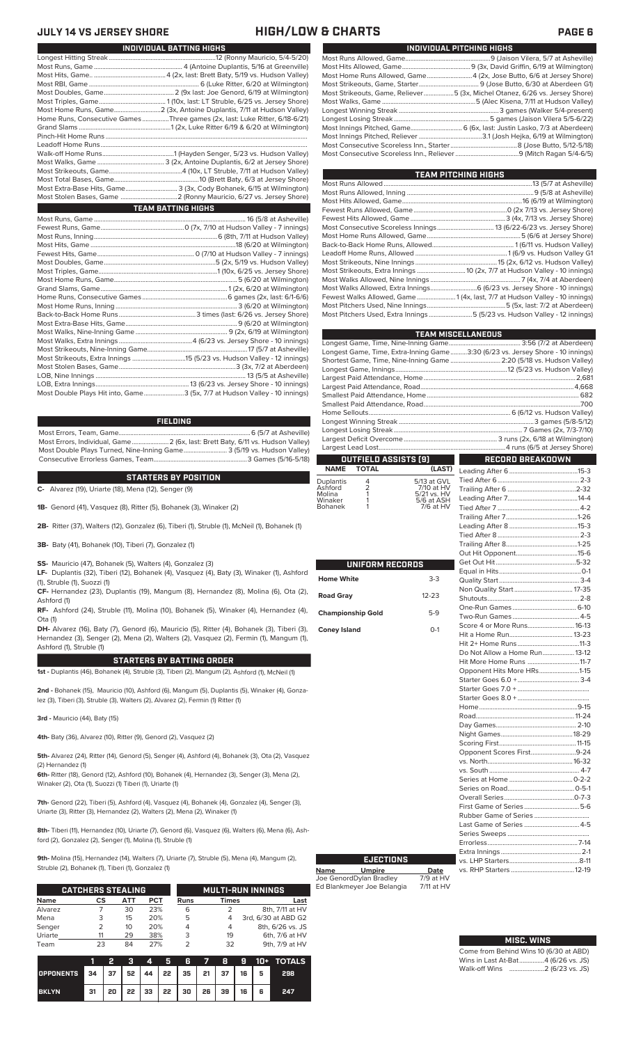| INDIVIDUAL PITCHING HIGHS                                                   |
|-----------------------------------------------------------------------------|
|                                                                             |
|                                                                             |
|                                                                             |
|                                                                             |
| Most Strikeouts, Game, Reliever5 (3x, Michel Otanez, 6/26 vs. Jersey Shore) |
|                                                                             |
|                                                                             |
|                                                                             |
|                                                                             |
|                                                                             |
|                                                                             |
|                                                                             |

| TEAM PITCHING HIGHS                                                         |  |
|-----------------------------------------------------------------------------|--|
|                                                                             |  |
|                                                                             |  |
|                                                                             |  |
|                                                                             |  |
|                                                                             |  |
|                                                                             |  |
|                                                                             |  |
|                                                                             |  |
|                                                                             |  |
|                                                                             |  |
| Most Strikeouts, Extra Innings  10 (2x, 7/7 at Hudson Valley - 10 innings)  |  |
|                                                                             |  |
|                                                                             |  |
| Fewest Walks Allowed, Game  1 (4x, last, 7/7 at Hudson Valley - 10 innings) |  |
|                                                                             |  |
| Most Pitchers Used, Extra Innings 5 (5/23 vs. Hudson Valley - 12 innings)   |  |

|                          |                 |                           | <b>TEAM MISCELLANEOUS</b>                                                      |  |  |  |  |
|--------------------------|-----------------|---------------------------|--------------------------------------------------------------------------------|--|--|--|--|
|                          |                 |                           |                                                                                |  |  |  |  |
|                          |                 |                           | Longest Game, Time, Extra-Inning Game3:30 (6/23 vs. Jersey Shore - 10 innings) |  |  |  |  |
|                          |                 |                           | Shortest Game, Time, Nine-Inning Game  2:20 (5/18 vs. Hudson Valley)           |  |  |  |  |
|                          |                 |                           |                                                                                |  |  |  |  |
|                          |                 |                           |                                                                                |  |  |  |  |
|                          |                 |                           |                                                                                |  |  |  |  |
|                          |                 |                           |                                                                                |  |  |  |  |
|                          |                 |                           |                                                                                |  |  |  |  |
|                          |                 |                           |                                                                                |  |  |  |  |
|                          |                 |                           |                                                                                |  |  |  |  |
|                          |                 |                           |                                                                                |  |  |  |  |
|                          |                 |                           |                                                                                |  |  |  |  |
|                          |                 |                           |                                                                                |  |  |  |  |
|                          |                 | OUTFIELD ASSISTS [9]      | <b>RECORD BREAKDOWN</b>                                                        |  |  |  |  |
| <b>NAME</b>              | <b>TOTAL</b>    | (LAST)                    |                                                                                |  |  |  |  |
| Duplantis                |                 | 5/13 at GVL               |                                                                                |  |  |  |  |
| Ashford                  | $\frac{4}{2}$ 1 | 7/10 at HV                |                                                                                |  |  |  |  |
| Molina<br>Winaker        | 1               | 5/21 vs. HV<br>5/6 at ASH |                                                                                |  |  |  |  |
| Bohanek                  | 1               | $7/6$ at $HV$             |                                                                                |  |  |  |  |
|                          |                 |                           |                                                                                |  |  |  |  |
|                          |                 |                           |                                                                                |  |  |  |  |
|                          |                 |                           |                                                                                |  |  |  |  |
|                          |                 |                           |                                                                                |  |  |  |  |
|                          |                 |                           |                                                                                |  |  |  |  |
|                          |                 |                           |                                                                                |  |  |  |  |
|                          |                 | <b>UNIFORM RECORDS</b>    |                                                                                |  |  |  |  |
| <b>Home White</b>        |                 | $3-3$                     |                                                                                |  |  |  |  |
|                          |                 |                           |                                                                                |  |  |  |  |
| <b>Road Gray</b>         |                 | $12 - 23$                 |                                                                                |  |  |  |  |
|                          |                 |                           |                                                                                |  |  |  |  |
| <b>Championship Gold</b> |                 | $5-9$                     |                                                                                |  |  |  |  |
|                          |                 |                           |                                                                                |  |  |  |  |
| <b>Coney Island</b>      |                 | $0 - 1$                   |                                                                                |  |  |  |  |
|                          |                 |                           |                                                                                |  |  |  |  |
|                          |                 |                           | Do Not Allow a Home Run 13-12                                                  |  |  |  |  |
|                          |                 |                           | Hit More Home Runs 11-7                                                        |  |  |  |  |
|                          |                 |                           | Opponent Hits More HRs1-15                                                     |  |  |  |  |
|                          |                 |                           |                                                                                |  |  |  |  |
|                          |                 |                           |                                                                                |  |  |  |  |
|                          |                 |                           |                                                                                |  |  |  |  |
|                          |                 |                           |                                                                                |  |  |  |  |
|                          |                 |                           |                                                                                |  |  |  |  |
|                          |                 |                           |                                                                                |  |  |  |  |
|                          |                 |                           |                                                                                |  |  |  |  |
|                          |                 |                           |                                                                                |  |  |  |  |
|                          |                 |                           |                                                                                |  |  |  |  |
|                          |                 |                           | Opponent Scores First9-24                                                      |  |  |  |  |
|                          |                 |                           |                                                                                |  |  |  |  |
|                          |                 |                           |                                                                                |  |  |  |  |
|                          |                 |                           |                                                                                |  |  |  |  |
|                          |                 |                           |                                                                                |  |  |  |  |
|                          |                 |                           |                                                                                |  |  |  |  |
|                          |                 |                           |                                                                                |  |  |  |  |

## **JULY 14 VS JERSEY SHORE HIGH/LOW & CHARTS PAGE 6**

| Home Runs, Consecutive Games Three games (2x, last: Luke Ritter, 6/18-6/21) |
|-----------------------------------------------------------------------------|
|                                                                             |
|                                                                             |
|                                                                             |
|                                                                             |
|                                                                             |
|                                                                             |
|                                                                             |
| Most Extra-Base Hits, Game 3 (3x, Cody Bohanek, 6/15 at Wilmington)         |
|                                                                             |
| <b>TEAM BATTING HIGHS</b>                                                   |
|                                                                             |
|                                                                             |
|                                                                             |
|                                                                             |
|                                                                             |
|                                                                             |
|                                                                             |
|                                                                             |
|                                                                             |
|                                                                             |
|                                                                             |
|                                                                             |
|                                                                             |
|                                                                             |
|                                                                             |
|                                                                             |
|                                                                             |
|                                                                             |
|                                                                             |

**INDIVIDUAL BATTING HIGHS**

LOB, Extra Innings........................................................13 (6/23 vs. Jersey Shore - 10 innings) .3 (5x, 7/7 at Hudson Valley - 10 innings)

### **FIELDING**

Most Errors, Team, Game...............................................................................6 (5/7 at Asheville) Most Errors, Individual, Game......................2 (6x, last: Brett Baty, 6/11 vs. Hudson Valley) Most Double Plays Turned, Nine-Inning Game.......................... 3 (5/19 vs. Hudson Valley) Consecutive Errorless Games, Team...

**STARTERS BY POSITION**

**C-** Alvarez (19), Uriarte (18), Mena (12), Senger (9)

**1B-** Genord (41), Vasquez (8), Ritter (5), Bohanek (3), Winaker (2)

**2B-** Ritter (37), Walters (12), Gonzalez (6), Tiberi (1), Struble (1), McNeil (1), Bohanek (1)

**3B-** Baty (41), Bohanek (10), Tiberi (7), Gonzalez (1)

**SS-** Mauricio (47), Bohanek (5), Walters (4), Gonzalez (3)

**LF-** Duplantis (32), Tiberi (12), Bohanek (4), Vasquez (4), Baty (3), Winaker (1), Ashford (1), Struble (1), Suozzi (1)

**CF-** Hernandez (23), Duplantis (19), Mangum (8), Hernandez (8), Molina (6), Ota (2), Ashford (1)

**RF-** Ashford (24), Struble (11), Molina (10), Bohanek (5), Winaker (4), Hernandez (4), Ota (1)

**DH-** Alvarez (16), Baty (7), Genord (6), Mauricio (5), Ritter (4), Bohanek (3), Tiberi (3), Hernandez (3), Senger (2), Mena (2), Walters (2), Vasquez (2), Fermin (1), Mangum (1), Ashford (1), Struble (1)

### **STARTERS BY BATTING ORDER**

**1st -** Duplantis (46), Bohanek (4), Struble (3), Tiberi (2), Mangum (2), Ashford (1), McNeil (1)

**2nd -** Bohanek (15), Mauricio (10), Ashford (6), Mangum (5), Duplantis (5), Winaker (4), Gonzalez (3), Tiberi (3), Struble (3), Walters (2), Alvarez (2), Fermin (1) Ritter (1)

**3rd -** Mauricio (44), Baty (15)

**4th-** Baty (36), Alvarez (10), Ritter (9), Genord (2), Vasquez (2)

**5th-** Alvarez (24), Ritter (14), Genord (5), Senger (4), Ashford (4), Bohanek (3), Ota (2), Vasquez (2) Hernandez (1)

**6th-** Ritter (18), Genord (12), Ashford (10), Bohanek (4), Hernandez (3), Senger (3), Mena (2), Winaker (2), Ota (1), Suozzi (1) Tiberi (1), Uriarte (1)

**7th-** Genord (22), Tiberi (5), Ashford (4), Vasquez (4), Bohanek (4), Gonzalez (4), Senger (3), Uriarte (3), Ritter (3), Hernandez (2), Walters (2), Mena (2), Winaker (1)

**8th-** Tiberi (11), Hernandez (10), Uriarte (7), Genord (6), Vasquez (6), Walters (6), Mena (6), Ashford (2), Gonzalez (2), Senger (1), Molina (1), Struble (1)

**9th-** Molina (15), Hernandez (14), Walters (7), Uriarte (7), Struble (5), Mena (4), Mangum (2), Struble (2), Bohanek (1), Tiberi (1), Gonzalez (1)

|             | <b>CATCHERS STEALING</b> |     |            |      |              | <b>MULTI-RUN INNINGS</b> |
|-------------|--------------------------|-----|------------|------|--------------|--------------------------|
| <b>Name</b> | CS                       | АТТ | <b>PCT</b> | Runs | <b>Times</b> | Last                     |
| Alvarez     |                          | 30  | 23%        | 6    |              | 8th, 7/11 at HV          |
| Mena        | 3                        | 15  | 20%        | 5    | 4            | 3rd, 6/30 at ABD G2      |
| Senger      |                          | 10  | 20%        | 4    | 4            | 8th, 6/26 vs. JS         |
| Uriarte     |                          | 29  | 38%        | 3    | 19           | 6th, 7/6 at HV           |
| Team        | 23                       | 84  | 27%        |      | 32           | 9th, 7/9 at HV           |

|                                        |    | 2. |  |                                           |  |  | 3 4 5 6 7 8 9 10 + TOTALS |
|----------------------------------------|----|----|--|-------------------------------------------|--|--|---------------------------|
| OPPONENTS 34 37 52 44 22 35 21 37 16 5 |    |    |  |                                           |  |  | 298                       |
| <b>BKLYN</b>                           | 31 |    |  | 20   22   33   22   30   26   39   16   6 |  |  | 247                       |

Last Game of Series ....

Extra Innings...

vs. E. ...<br>vs. RHP Starters ...

| Come from Behind Wins 10 (6/30 at ABD) |  |
|----------------------------------------|--|
| Wins in Last At-Bat4 (6/26 vs. JS)     |  |
| Walk-off Wins                          |  |

Series Sweeps ................................................. Errorless......................................................7-14

vs. LHP Starters..........................................8-11

| Opponent Scores First9-24 |  |
|---------------------------|--|
|                           |  |
|                           |  |
|                           |  |
|                           |  |
|                           |  |
|                           |  |
|                           |  |
| Last Game of Series  4-5  |  |

**Name Umpire Date** Joe GenordDylan Bradley 7/9 at HV Ed Blankmeyer Joe Belangia 7/11 at HV

**EJECTIONS**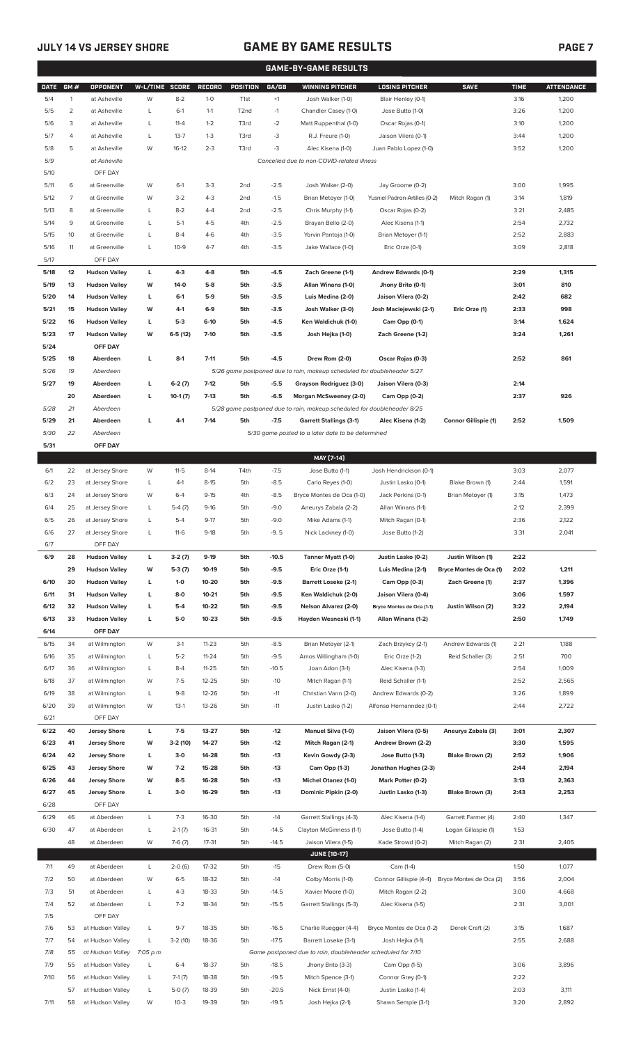# **JULY 14 VS JERSEY SHORE GAME BY GAME RESULTS**

|              | <b>GAME-BY-GAME RESULTS</b> |                                              |                |                   |                  |                   |                  |                                                                         |                                                  |                         |              |                   |
|--------------|-----------------------------|----------------------------------------------|----------------|-------------------|------------------|-------------------|------------------|-------------------------------------------------------------------------|--------------------------------------------------|-------------------------|--------------|-------------------|
| <b>DATE</b>  | GM#                         | OPPONENT                                     | W-L/TIME SCORE |                   | <b>RECORD</b>    | <b>POSITION</b>   | GA/GB            | <b>WINNING PITCHER</b>                                                  | <b>LOSING PITCHER</b>                            | <b>SAVE</b>             | <b>TIME</b>  | <b>ATTENDANCE</b> |
| 5/4          | $\mathbf{1}$                | at Asheville                                 | W              | $8-2$             | $1-0$            | T <sub>1st</sub>  | $+1$             | Josh Walker (1-0)                                                       | Blair Henley (0-1)                               |                         | 3:16         | 1,200             |
| 5/5          | $\overline{2}$              | at Asheville                                 | L              | $6-1$             | $1 - 1$          | T <sub>2</sub> nd | $-1$             | Chandler Casey (1-0)                                                    | Jose Butto (1-0)                                 |                         | 3:26         | 1,200             |
| 5/6          | 3                           | at Asheville                                 | L              | $11 - 4$          | $1 - 2$          | T3rd              | $-2$             | Matt Ruppenthal (1-0)                                                   | Oscar Rojas (0-1)                                |                         | 3:10         | 1,200             |
| 5/7          | 4                           | at Asheville                                 | L              | $13 - 7$          | $1 - 3$          | T3rd              | -3               | R.J. Freure (1-0)                                                       | Jaison Vilera (0-1)                              |                         | 3:44         | 1,200             |
| 5/8          | 5                           | at Asheville                                 | W              | $16-12$           | $2 - 3$          | T3rd              | -3               | Alec Kisena (1-0)                                                       | Juan Pablo Lopez (1-0)                           |                         | 3:52         | 1,200             |
| 5/9          |                             | at Asheville                                 |                |                   |                  |                   |                  | Cancelled due to non-COVID-related illness                              |                                                  |                         |              |                   |
| 5/10         |                             | OFF DAY                                      |                |                   |                  |                   |                  |                                                                         |                                                  |                         |              |                   |
| 5/11         | 6                           | at Greenville                                | W              | $6-1$             | $3 - 3$          | 2 <sub>nd</sub>   | $-2.5$           | Josh Walker (2-0)                                                       | Jay Groome (0-2)                                 |                         | 3:00         | 1,995             |
| 5/12         | 7                           | at Greenville                                | W              | $3-2$             | $4 - 3$          | 2 <sub>nd</sub>   | $-1.5$           | Brian Metoyer (1-0)                                                     | Yusniel Padron-Artilles (0-2)                    | Mitch Ragan (1)         | 3:14         | 1,819             |
| 5/13         | 8                           | at Greenville                                | L              | $8 - 2$           | $4 - 4$          | 2nd               | $-2.5$           | Chris Murphy (1-1)                                                      | Oscar Rojas (0-2)                                |                         | 3:21         | 2,485             |
| 5/14         | 9                           | at Greenville                                | L              | $5-1$             | $4 - 5$          | 4th               | $-2.5$           | Brayan Bello (2-0)                                                      | Alec Kisena (1-1)                                |                         | 2:54         | 2,732             |
| 5/15         | 10                          | at Greenville                                | L              | $8 - 4$           | $4-6$            | 4th               | $-3.5$           | Yorvin Pantoja (1-0)                                                    | Brian Metoyer (1-1)                              |                         | 2:52         | 2,883             |
| 5/16         | 11                          | at Greenville                                | L              | $10 - 9$          | $4 - 7$          | 4th               | $-3.5$           | Jake Wallace (1-0)                                                      | Eric Orze (0-1)                                  |                         | 3:09         | 2,818             |
| 5/17         |                             | OFF DAY                                      |                |                   |                  |                   |                  |                                                                         |                                                  |                         |              |                   |
| 5/18<br>5/19 | 12                          | <b>Hudson Valley</b>                         | L<br>W         | $4-3$<br>$14-0$   | $4 - 8$<br>$5-8$ | 5th               | $-4.5$           | Zach Greene (1-1)                                                       | Andrew Edwards (0-1)                             |                         | 2:29         | 1,315<br>810      |
| 5/20         | 13                          | <b>Hudson Valley</b><br><b>Hudson Valley</b> |                | $6-1$             | $5-9$            | 5th<br>5th        | $-3.5$<br>$-3.5$ | Allan Winans (1-0)<br>Luis Medina (2-0)                                 | Jhony Brito (0-1)<br>Jaison Vilera (0-2)         |                         | 3:01<br>2:42 | 682               |
| 5/21         | 14<br>15                    | <b>Hudson Valley</b>                         | L<br>W         | 4-1               | $6-9$            | 5th               | $-3.5$           | Josh Walker (3-0)                                                       | Josh Maciejewski (2-1)                           | Eric Orze (1)           | 2:33         | 998               |
| 5/22         | 16                          | <b>Hudson Valley</b>                         | L              | $5-3$             | $6-10$           | 5th               | $-4.5$           | Ken Waldichuk (1-0)                                                     | Cam Opp (0-1)                                    |                         | 3:14         | 1,624             |
| 5/23         | 17                          | <b>Hudson Valley</b>                         | W              | $6-5(12)$         | $7-10$           | 5th               | $-3.5$           | Josh Hejka (1-0)                                                        | Zach Greene (1-2)                                |                         | 3:24         | 1,261             |
| 5/24         |                             | OFF DAY                                      |                |                   |                  |                   |                  |                                                                         |                                                  |                         |              |                   |
| 5/25         | 18                          | Aberdeen                                     | L              | $8-1$             | $7 - 11$         | 5th               | $-4.5$           | Drew Rom (2-0)                                                          | Oscar Rojas (0-3)                                |                         | 2:52         | 861               |
| 5/26         | 19                          | Aberdeen                                     |                |                   |                  |                   |                  | 5/26 game postponed due to rain, makeup scheduled for doubleheader 5/27 |                                                  |                         |              |                   |
| 5/27         | 19                          | Aberdeen                                     | г              | $6-2(7)$          | $7-12$           | 5th               | $-5.5$           | Grayson Rodriguez (3-0)                                                 | Jaison Vilera (0-3)                              |                         | 2:14         |                   |
|              | 20                          | Aberdeen                                     | г              | $10-1(7)$         | $7-13$           | 5th               | $-6.5$           | Morgan McSweeney (2-0)                                                  | Cam Opp (0-2)                                    |                         | 2:37         | 926               |
| 5/28         | 21                          | Aberdeen                                     |                |                   |                  |                   |                  | 5/28 game postponed due to rain, makeup scheduled for doubleheader 8/25 |                                                  |                         |              |                   |
| 5/29         | 21                          | Aberdeen                                     | г              | $4-1$             | $7 - 14$         | 5th               | $-7.5$           | <b>Garrett Stallings (3-1)</b>                                          | Alec Kisena (1-2)                                | Connor Gillispie (1)    | 2:52         | 1,509             |
| 5/30         | 22                          | Aberdeen                                     |                |                   |                  |                   |                  | 5/30 game posted to a later date to be determined                       |                                                  |                         |              |                   |
| 5/31         |                             | OFF DAY                                      |                |                   |                  |                   |                  |                                                                         |                                                  |                         |              |                   |
|              |                             |                                              |                |                   |                  |                   |                  | MAY [7-14]                                                              |                                                  |                         |              |                   |
| 6/1          | 22                          | at Jersey Shore                              | W              | $11 - 5$          | $8-14$           | T4th              | $-7.5$           | Jose Butto (1-1)                                                        | Josh Hendrickson (0-1)                           |                         | 3:03         | 2,077             |
| 6/2          | 23                          | at Jersey Shore                              | L              | $4-1$             | $8 - 15$         | 5th               | $-8.5$           | Carlo Reyes (1-0)                                                       | Justin Lasko (0-1)                               | Blake Brown (1)         | 2:44         | 1,591             |
| 6/3          | 24                          | at Jersey Shore                              | W              | $6 - 4$           | $9-15$           | 4th               | $-8.5$           | Bryce Montes de Oca (1-0)                                               | Jack Perkins (0-1)                               | Brian Metoyer (1)       | 3:15         | 1,473             |
| 6/4          | 25                          | at Jersey Shore                              | L              | $5-4(7)$          | $9-16$           | 5th               | $-9.0$           | Aneurys Zabala (2-2)                                                    | Allan Winans (1-1)                               |                         | 2:12         | 2,399             |
| 6/5          | 26                          | at Jersey Shore                              | Г              | $5 - 4$           | $9-17$           | 5th               | $-9.0$           | Mike Adams (1-1)                                                        | Mitch Ragan (0-1)                                |                         | 2:36         | 2,122             |
| 6/6          | 27                          | at Jersey Shore                              | L              | $11-6$            | $9-18$           | 5th               | $-9.5$           | Nick Lackney (1-0)                                                      | Jose Butto (1-2)                                 |                         | 3:31         | 2,041             |
| $6/7$        |                             | OFF DAY                                      |                |                   |                  |                   |                  |                                                                         |                                                  |                         |              |                   |
| 6/9          | 28                          | <b>Hudson Valley</b>                         | L              | $3-2(7)$          | $9-19$           | 5th               | $-10.5$          | Tanner Myatt (1-0)                                                      | Justin Lasko (0-2)                               | Justin Wilson (1)       | 2:22         |                   |
|              | 29                          | <b>Hudson Valley</b>                         | W              | $5-3(7)$          | 10-19            | 5th               | $-9.5$           | Eric Orze (1-1)                                                         | Luis Medina (2-1)                                | Bryce Montes de Oca (1) | 2:02         | 1,211             |
| 6/10         | 30                          | <b>Hudson Valley</b>                         | L              | $1-0$             | 10-20            | 5th               | $-9.5$           | <b>Barrett Loseke (2-1)</b>                                             | Cam Opp (0-3)                                    | Zach Greene (1)         | 2:37         | 1,396             |
| 6/11         | 31                          | <b>Hudson Valley</b>                         | L              | $8-0$             | $10 - 21$        | 5th               | -9.5             | Ken Waldichuk (2-0)                                                     | Jaison Vilera (0-4)                              |                         | 3:06         | 1,597             |
| 6/12         | 32                          | <b>Hudson Valley</b>                         | г              | $5-4$             | 10-22            | 5th               | $-9.5$           | Nelson Alvarez (2-0)                                                    | Bryce Montes de Oca (1-1)                        | Justin Wilson (2)       | 3:22         | 2,194             |
| 6/13         | 33                          | <b>Hudson Valley</b>                         | г              | $5-0$             | $10 - 23$        | 5th               | $-9.5$           | Hayden Wesneski (1-1)                                                   | Allan Winans (1-2)                               |                         | 2:50         | 1,749             |
| 6/14         |                             | OFF DAY                                      |                |                   |                  |                   |                  |                                                                         |                                                  |                         |              |                   |
| 6/15         | 34                          | at Wilmington                                | W              | $3-1$             | $11 - 23$        | 5th               | $-8.5$           | Brian Metoyer (2-1)                                                     | Zach Brzykcy (2-1)                               | Andrew Edwards (1)      | 2:21         | 1,188             |
| 6/16         | 35                          | at Wilmington                                | L              | $5 - 2$           | $11 - 24$        | 5th               | $-9.5$           | Amos Willingham (1-0)                                                   | Eric Orze (1-2)                                  | Reid Schaller (3)       | 2:51         | 700               |
| 6/17         | 36                          | at Wilmington                                | L              | $8 - 4$           | $11 - 25$        | 5th               | $-10.5$          | Joan Adon (3-1)                                                         | Alec Kisena (1-3)                                |                         | 2:54         | 1,009             |
| 6/18         | 37                          | at Wilmington                                | W              | $7-5$             | $12 - 25$        | 5th               | $-10$            | Mitch Ragan (1-1)                                                       | Reid Schaller (1-1)                              |                         | 2:52         | 2,565             |
| 6/19<br>6/20 | 38<br>39                    | at Wilmington<br>at Wilmington               | L<br>W         | $9 - 8$<br>$13-1$ | 12-26<br>13-26   | 5th<br>5th        | $-11$<br>$-11$   | Christian Vann (2-0)<br>Justin Lasko (1-2)                              | Andrew Edwards (0-2)<br>Alfonso Hernanndez (0-1) |                         | 3:26<br>2:44 | 1,899<br>2,722    |
| 6/21         |                             | OFF DAY                                      |                |                   |                  |                   |                  |                                                                         |                                                  |                         |              |                   |
| 6/22         | 40                          | <b>Jersey Shore</b>                          | L              | $7-5$             | 13-27            | 5th               | $-12$            | Manuel Silva (1-0)                                                      | Jaison Vilera (0-5)                              | Aneurys Zabala (3)      | 3:01         | 2,307             |
| 6/23         | 41                          | <b>Jersey Shore</b>                          | W              | $3-2(10)$         | 14-27            | 5th               | $-12$            | Mitch Ragan (2-1)                                                       | Andrew Brown (2-2)                               |                         | 3:30         | 1,595             |
| 6/24         | 42                          | <b>Jersey Shore</b>                          | L              | $3-0$             | 14-28            | 5th               | $-13$            | Kevin Gowdy (2-3)                                                       | Jose Butto (1-3)                                 | Blake Brown (2)         | 2:52         | 1,906             |
| 6/25         | 43                          | <b>Jersey Shore</b>                          | W              | $7-2$             | 15-28            | 5th               | $-13$            | Cam Opp (1-3)                                                           | Jonathan Hughes (2-3)                            |                         | 2:44         | 2,194             |
| 6/26         | 44                          | <b>Jersey Shore</b>                          | W              | $8-5$             | 16-28            | 5th               | $-13$            | Michel Otanez (1-0)                                                     | Mark Potter (0-2)                                |                         | 3:13         | 2,363             |
| 6/27         | 45                          | <b>Jersey Shore</b>                          | L              | $3-0$             | 16-29            | 5th               | $-13$            | Dominic Pipkin (2-0)                                                    | Justin Lasko (1-3)                               | Blake Brown (3)         | 2:43         | 2,253             |
| 6/28         |                             | OFF DAY                                      |                |                   |                  |                   |                  |                                                                         |                                                  |                         |              |                   |
| 6/29         | 46                          | at Aberdeen                                  | L              | $7-3$             | 16-30            | 5th               | $-14$            | Garrett Stallings (4-3)                                                 | Alec Kisena (1-4)                                | Garrett Farmer (4)      | 2:40         | 1,347             |
| 6/30         | 47                          | at Aberdeen                                  | L              | $2-1(7)$          | 16-31            | 5th               | $-14.5$          | Clayton McGinness (1-1)                                                 | Jose Butto (1-4)                                 | Logan Gillaspie (1)     | 1:53         |                   |
|              | 48                          | at Aberdeen                                  | W              | $7-6(7)$          | $17 - 31$        | 5th               | $-14.5$          | Jaison Vilera (1-5)                                                     | Kade Strowd (0-2)                                | Mitch Ragan (2)         | 2:31         | 2,405             |
|              |                             |                                              |                |                   |                  |                   |                  | <b>JUNE [10-17]</b>                                                     |                                                  |                         |              |                   |
| 7/1          | 49                          | at Aberdeen                                  | L              | $2-0(6)$          | 17-32            | 5th               | $-15$            | Drew Rom (5-0)                                                          | Cam (1-4)                                        |                         | 1:50         | 1,077             |
| 7/2          | 50                          | at Aberdeen                                  | W              | $6 - 5$           | 18-32            | 5th               | $-14$            | Colby Morris (1-0)                                                      | Connor Gillispie (4-4)                           | Bryce Montes de Oca (2) | 3:56         | 2,004             |
| 7/3          | 51                          | at Aberdeen                                  | L              | $4 - 3$           | 18-33            | 5th               | $-14.5$          | Xavier Moore (1-0)                                                      | Mitch Ragan (2-2)                                |                         | 3:00         | 4,668             |
| 7/4          | 52                          | at Aberdeen                                  | L              | $7 - 2$           | 18-34            | 5th               | $-15.5$          | Garrett Stallings (5-3)                                                 | Alec Kisena (1-5)                                |                         | 2:31         | 3,001             |
| 7/5          |                             | OFF DAY                                      |                |                   |                  |                   |                  |                                                                         |                                                  |                         |              |                   |
| 7/6          | 53                          | at Hudson Valley                             | L              | $9 - 7$           | 18-35            | 5th               | $-16.5$          | Charlie Ruegger (4-4)                                                   | Bryce Montes de Oca (1-2)                        | Derek Craft (2)         | 3:15         | 1,687             |
| 7/7          | 54                          | at Hudson Valley                             | L              | $3-2(10)$         | 18-36            | 5th               | $-17.5$          | Barrett Loseke (3-1)                                                    | Josh Hejka (1-1)                                 |                         | 2:55         | 2,688             |
| 7/8          | 55                          | at Hudson Valley 7:05 p.m.                   |                |                   |                  |                   |                  | Game postponed due to rain, doubleheader scheduled for 7/10             |                                                  |                         |              |                   |
| 7/9          | 55                          | at Hudson Valley                             | L              | $6 - 4$           | 18-37            | 5th               | $-18.5$          | Jhony Brito (3-3)                                                       | Cam Opp (1-5)                                    |                         | 3:06         | 3,896             |
| 7/10         | 56                          | at Hudson Valley                             | L              | $7-1(7)$          | 18-38            | 5th               | $-19.5$          | Mitch Spence (3-1)                                                      | Connor Grey (0-1)                                |                         | 2:22         |                   |
|              | 57                          | at Hudson Valley                             | L              | $5-0(7)$          | 18-39            | 5th               | $-20.5$          | Nick Ernst (4-0)                                                        | Justin Lasko (1-4)                               |                         | 2:03         | 3,111             |
| 7/11         |                             | 58 at Hudson Valley                          | W              | $10-3$            | 19-39            | 5th               | $-19.5$          | Josh Hejka (2-1)                                                        | Shawn Semple (3-1)                               |                         | 3:20         | 2,892             |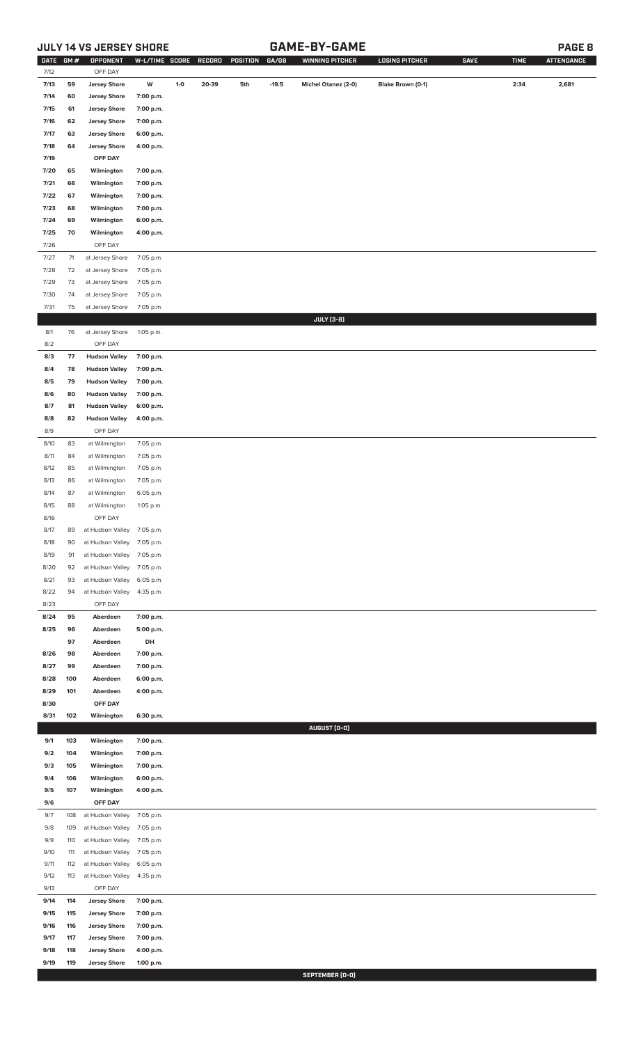# **JULY 14 VS JERSEY SHORE GAME-BY-GAME PAGE 8**

| <b>DATE</b> | GM# | <b>OPPONENT</b>            | W-L/TIME SCORE |       | RECORD | POSITION | GA/GB   | <b>WINNING PITCHER</b> | <b>LOSING PITCHER</b> | <b>SAVE</b> | <b>TIME</b> | <b>ATTENDANCE</b> |
|-------------|-----|----------------------------|----------------|-------|--------|----------|---------|------------------------|-----------------------|-------------|-------------|-------------------|
| 7/12        |     | OFF DAY                    |                |       |        |          |         |                        |                       |             |             |                   |
| 7/13        | 59  | <b>Jersey Shore</b>        | W              | $1-0$ | 20-39  | 5th      | $-19.5$ | Michel Otanez (2-0)    | Blake Brown (0-1)     |             | 2:34        | 2,681             |
| 7/14        | 60  | <b>Jersey Shore</b>        | 7:00 p.m.      |       |        |          |         |                        |                       |             |             |                   |
| 7/15        | 61  | <b>Jersey Shore</b>        | 7:00 p.m.      |       |        |          |         |                        |                       |             |             |                   |
| 7/16        | 62  | <b>Jersey Shore</b>        | 7:00 p.m.      |       |        |          |         |                        |                       |             |             |                   |
| 7/17        | 63  | <b>Jersey Shore</b>        | 6:00 p.m.      |       |        |          |         |                        |                       |             |             |                   |
| 7/18        | 64  | <b>Jersey Shore</b>        | 4:00 p.m.      |       |        |          |         |                        |                       |             |             |                   |
| 7/19        |     | OFF DAY                    |                |       |        |          |         |                        |                       |             |             |                   |
| 7/20        | 65  | Wilmington                 | 7:00 p.m.      |       |        |          |         |                        |                       |             |             |                   |
| 7/21        | 66  |                            | 7:00 p.m.      |       |        |          |         |                        |                       |             |             |                   |
|             |     | Wilmington                 |                |       |        |          |         |                        |                       |             |             |                   |
| 7/22        | 67  | Wilmington                 | 7:00 p.m.      |       |        |          |         |                        |                       |             |             |                   |
| 7/23        | 68  | Wilmington                 | 7:00 p.m.      |       |        |          |         |                        |                       |             |             |                   |
| 7/24        | 69  | Wilmington                 | 6:00 p.m.      |       |        |          |         |                        |                       |             |             |                   |
| 7/25        | 70  | Wilmington                 | 4:00 p.m.      |       |        |          |         |                        |                       |             |             |                   |
| 7/26        |     | OFF DAY                    |                |       |        |          |         |                        |                       |             |             |                   |
| 7/27        | 71  | at Jersey Shore            | 7:05 p.m.      |       |        |          |         |                        |                       |             |             |                   |
| 7/28        | 72  | at Jersey Shore            | 7:05 p.m.      |       |        |          |         |                        |                       |             |             |                   |
| 7/29        | 73  | at Jersey Shore            | 7:05 p.m.      |       |        |          |         |                        |                       |             |             |                   |
| 7/30        | 74  | at Jersey Shore            | 7:05 p.m.      |       |        |          |         |                        |                       |             |             |                   |
| 7/31        | 75  | at Jersey Shore            | 7:05 p.m.      |       |        |          |         |                        |                       |             |             |                   |
|             |     |                            |                |       |        |          |         | <b>JULY</b> [3-8]      |                       |             |             |                   |
| 8/1         | 76  | at Jersey Shore            | 1:05 p.m.      |       |        |          |         |                        |                       |             |             |                   |
| 8/2         |     | OFF DAY                    |                |       |        |          |         |                        |                       |             |             |                   |
| 8/3         | 77  | <b>Hudson Valley</b>       | 7:00 p.m.      |       |        |          |         |                        |                       |             |             |                   |
| 8/4         | 78  | <b>Hudson Valley</b>       | 7:00 p.m.      |       |        |          |         |                        |                       |             |             |                   |
| 8/5         | 79  | <b>Hudson Valley</b>       | 7:00 p.m.      |       |        |          |         |                        |                       |             |             |                   |
| 8/6         | 80  | <b>Hudson Valley</b>       | 7:00 p.m.      |       |        |          |         |                        |                       |             |             |                   |
| 8/7         | 81  | <b>Hudson Valley</b>       | 6:00 p.m.      |       |        |          |         |                        |                       |             |             |                   |
| 8/8         | 82  | <b>Hudson Valley</b>       | 4:00 p.m.      |       |        |          |         |                        |                       |             |             |                   |
| 8/9         |     | OFF DAY                    |                |       |        |          |         |                        |                       |             |             |                   |
| 8/10        | 83  | at Wilmington              | 7:05 p.m.      |       |        |          |         |                        |                       |             |             |                   |
| 8/11        | 84  | at Wilmington              | 7:05 p.m.      |       |        |          |         |                        |                       |             |             |                   |
| 8/12        | 85  | at Wilmington              | 7:05 p.m.      |       |        |          |         |                        |                       |             |             |                   |
|             |     | at Wilmington              |                |       |        |          |         |                        |                       |             |             |                   |
| 8/13        | 86  |                            | 7:05 p.m.      |       |        |          |         |                        |                       |             |             |                   |
| 8/14        | 87  | at Wilmington              | 6:05 p.m.      |       |        |          |         |                        |                       |             |             |                   |
| 8/15        | 88  | at Wilmington              | 1:05 p.m.      |       |        |          |         |                        |                       |             |             |                   |
| 8/16        |     | OFF DAY                    |                |       |        |          |         |                        |                       |             |             |                   |
| 8/17        | 89  | at Hudson Valley 7:05 p.m. |                |       |        |          |         |                        |                       |             |             |                   |
| 8/18        | 90  | at Hudson Valley           | 7:05 p.m.      |       |        |          |         |                        |                       |             |             |                   |
| 8/19        | 91  | at Hudson Valley           | 7:05 p.m.      |       |        |          |         |                        |                       |             |             |                   |
| 8/20        | 92  | at Hudson Valley           | 7:05 p.m.      |       |        |          |         |                        |                       |             |             |                   |
| 8/21        | 93  | at Hudson Valley           | 6:05 p.m.      |       |        |          |         |                        |                       |             |             |                   |
| 8/22        | 94  | at Hudson Valley           | 4:35 p.m.      |       |        |          |         |                        |                       |             |             |                   |
| 8/23        |     | OFF DAY                    |                |       |        |          |         |                        |                       |             |             |                   |
| 8/24        | 95  | Aberdeen                   | 7:00 p.m.      |       |        |          |         |                        |                       |             |             |                   |
| 8/25        | 96  | Aberdeen                   | 5:00 p.m.      |       |        |          |         |                        |                       |             |             |                   |
|             | 97  | Aberdeen                   | DH             |       |        |          |         |                        |                       |             |             |                   |
| 8/26        | 98  | Aberdeen                   | 7:00 p.m.      |       |        |          |         |                        |                       |             |             |                   |
| 8/27        | 99  | Aberdeen                   | 7:00 p.m.      |       |        |          |         |                        |                       |             |             |                   |
| 8/28        | 100 | Aberdeen                   | 6:00 p.m.      |       |        |          |         |                        |                       |             |             |                   |
| 8/29        | 101 | Aberdeen                   | 4:00 p.m.      |       |        |          |         |                        |                       |             |             |                   |
| 8/30        |     | OFF DAY                    |                |       |        |          |         |                        |                       |             |             |                   |
| 8/31        | 102 | Wilmington                 | 6:30 p.m.      |       |        |          |         |                        |                       |             |             |                   |
|             |     |                            |                |       |        |          |         | AUGUST (0-0)           |                       |             |             |                   |
| 9/1         | 103 | Wilmington                 | 7:00 p.m.      |       |        |          |         |                        |                       |             |             |                   |
| 9/2         | 104 | Wilmington                 | 7:00 p.m.      |       |        |          |         |                        |                       |             |             |                   |
| 9/3         | 105 | Wilmington                 | 7:00 p.m.      |       |        |          |         |                        |                       |             |             |                   |
| 9/4         | 106 | Wilmington                 | 6:00 p.m.      |       |        |          |         |                        |                       |             |             |                   |
| 9/5         | 107 | Wilmington                 | 4:00 p.m.      |       |        |          |         |                        |                       |             |             |                   |
|             |     |                            |                |       |        |          |         |                        |                       |             |             |                   |
| 9/6         |     | OFF DAY                    |                |       |        |          |         |                        |                       |             |             |                   |
| 9/7         | 108 | at Hudson Valley           | 7:05 p.m.      |       |        |          |         |                        |                       |             |             |                   |
| 9/8         | 109 | at Hudson Valley           | 7:05 p.m.      |       |        |          |         |                        |                       |             |             |                   |
| 9/9         | 110 | at Hudson Valley           | 7:05 p.m.      |       |        |          |         |                        |                       |             |             |                   |
| 9/10        | 111 | at Hudson Valley           | 7:05 p.m.      |       |        |          |         |                        |                       |             |             |                   |
| 9/11        | 112 | at Hudson Valley           | 6:05 p.m.      |       |        |          |         |                        |                       |             |             |                   |
| 9/12        | 113 | at Hudson Valley           | 4:35 p.m.      |       |        |          |         |                        |                       |             |             |                   |
| 9/13        |     | OFF DAY                    |                |       |        |          |         |                        |                       |             |             |                   |
| 9/14        | 114 | <b>Jersey Shore</b>        | 7:00 p.m.      |       |        |          |         |                        |                       |             |             |                   |
| 9/15        | 115 | <b>Jersey Shore</b>        | 7:00 p.m.      |       |        |          |         |                        |                       |             |             |                   |
| 9/16        | 116 | <b>Jersey Shore</b>        | 7:00 p.m.      |       |        |          |         |                        |                       |             |             |                   |
| 9/17        | 117 | <b>Jersey Shore</b>        | 7:00 p.m.      |       |        |          |         |                        |                       |             |             |                   |
| 9/18        | 118 | <b>Jersey Shore</b>        | 4:00 p.m.      |       |        |          |         |                        |                       |             |             |                   |
| 9/19        | 119 | <b>Jersey Shore</b>        | 1:00 p.m.      |       |        |          |         |                        |                       |             |             |                   |

**SEPTEMBER (0-0)**